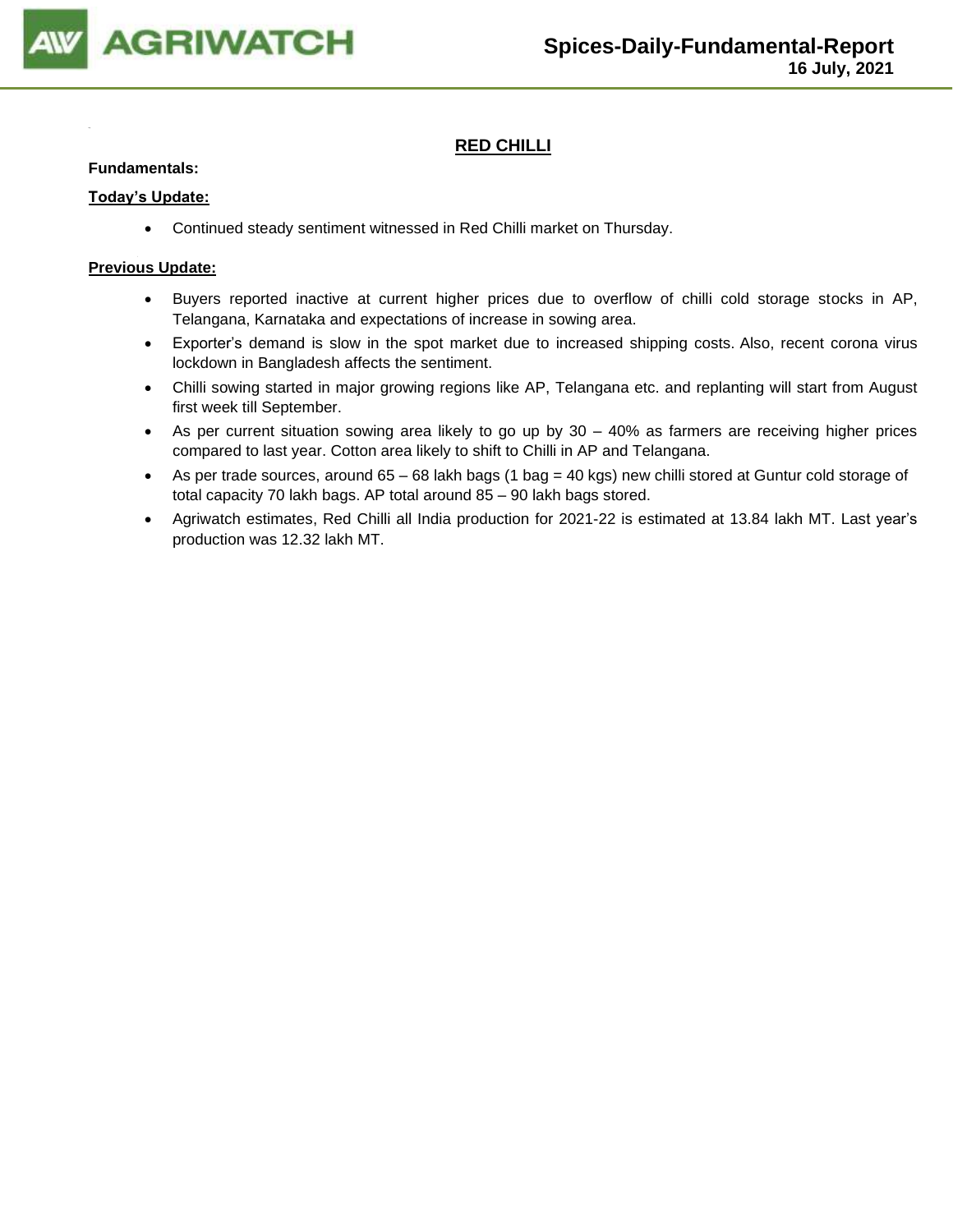

# **RED CHILLI**

#### **Fundamentals:**

#### **Today's Update:**

• Continued steady sentiment witnessed in Red Chilli market on Thursday.

- Buyers reported inactive at current higher prices due to overflow of chilli cold storage stocks in AP, Telangana, Karnataka and expectations of increase in sowing area.
- Exporter's demand is slow in the spot market due to increased shipping costs. Also, recent corona virus lockdown in Bangladesh affects the sentiment.
- Chilli sowing started in major growing regions like AP, Telangana etc. and replanting will start from August first week till September.
- As per current situation sowing area likely to go up by 30 40% as farmers are receiving higher prices compared to last year. Cotton area likely to shift to Chilli in AP and Telangana.
- As per trade sources, around 65 68 lakh bags (1 bag = 40 kgs) new chilli stored at Guntur cold storage of total capacity 70 lakh bags. AP total around 85 – 90 lakh bags stored.
- Agriwatch estimates, Red Chilli all India production for 2021-22 is estimated at 13.84 lakh MT. Last year's production was 12.32 lakh MT.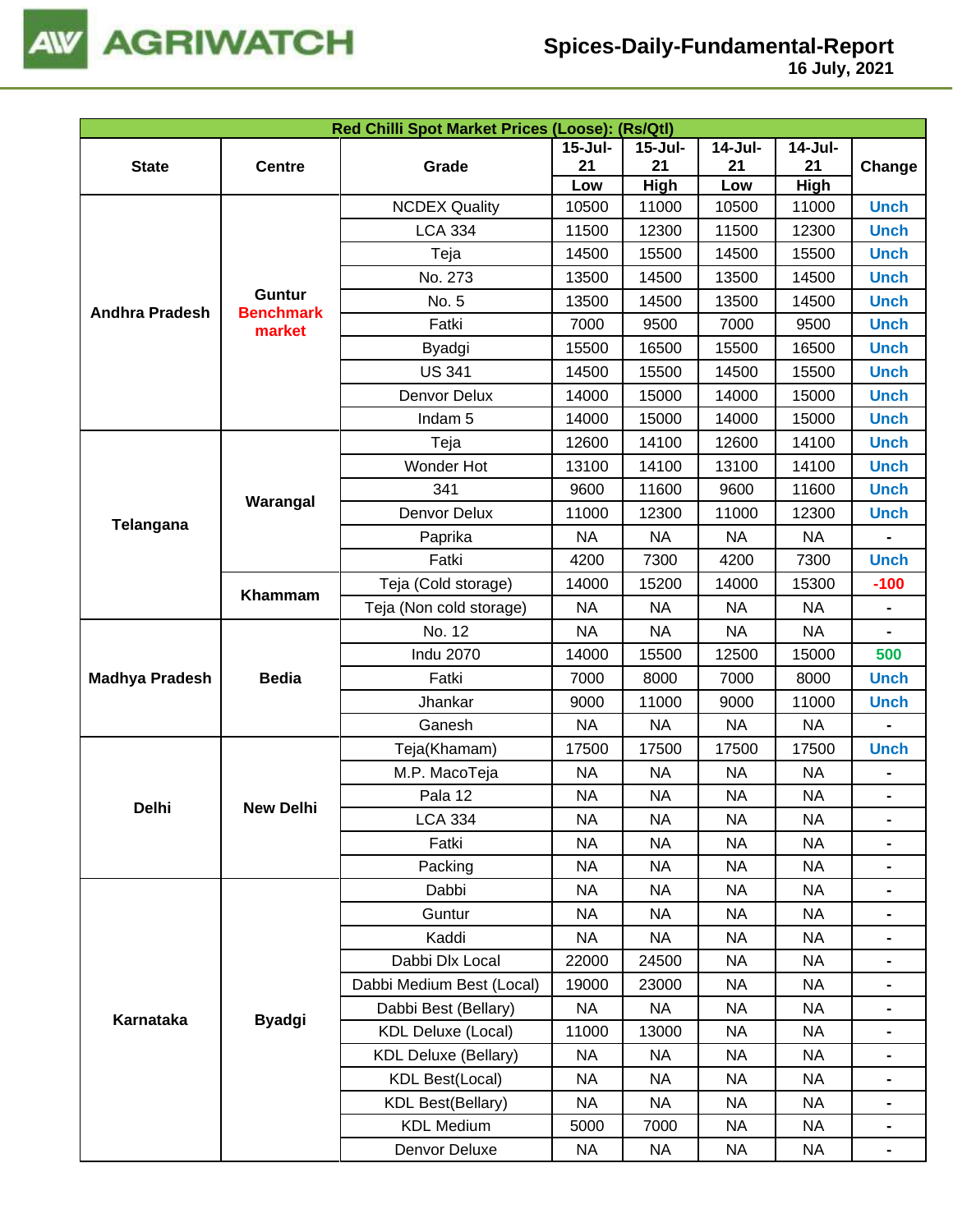

|                       |                  | Red Chilli Spot Market Prices (Loose): (Rs/Qtl) |                |             |           |                                                                                                                                                                                                                                                                                                                                                                                                                                                    |                                                                                                                                                                                                                                                                                                                                                                              |
|-----------------------|------------------|-------------------------------------------------|----------------|-------------|-----------|----------------------------------------------------------------------------------------------------------------------------------------------------------------------------------------------------------------------------------------------------------------------------------------------------------------------------------------------------------------------------------------------------------------------------------------------------|------------------------------------------------------------------------------------------------------------------------------------------------------------------------------------------------------------------------------------------------------------------------------------------------------------------------------------------------------------------------------|
|                       |                  |                                                 | <b>15-Jul-</b> | $15 -$ Jul- | $14-Jul-$ | $14-Jul-$                                                                                                                                                                                                                                                                                                                                                                                                                                          |                                                                                                                                                                                                                                                                                                                                                                              |
| <b>State</b>          | <b>Centre</b>    | Grade                                           | 21             | 21          | 21        |                                                                                                                                                                                                                                                                                                                                                                                                                                                    |                                                                                                                                                                                                                                                                                                                                                                              |
|                       |                  |                                                 | Low            | High        | Low       |                                                                                                                                                                                                                                                                                                                                                                                                                                                    |                                                                                                                                                                                                                                                                                                                                                                              |
|                       |                  | <b>NCDEX Quality</b>                            | 10500          | 11000       | 10500     |                                                                                                                                                                                                                                                                                                                                                                                                                                                    |                                                                                                                                                                                                                                                                                                                                                                              |
|                       |                  | <b>LCA 334</b>                                  | 11500          | 12300       | 11500     |                                                                                                                                                                                                                                                                                                                                                                                                                                                    | Change<br><b>Unch</b><br><b>Unch</b><br><b>Unch</b><br><b>Unch</b><br><b>Unch</b><br><b>Unch</b><br><b>Unch</b><br><b>Unch</b><br><b>Unch</b><br><b>Unch</b><br><b>Unch</b><br><b>Unch</b><br><b>Unch</b><br><b>Unch</b><br><b>Unch</b><br>$-100$<br>$\blacksquare$<br>500<br><b>Unch</b><br><b>Unch</b><br>$\qquad \qquad \blacksquare$<br><b>Unch</b><br>-<br>Ξ.<br>-<br>- |
|                       |                  | Teja                                            | 14500          | 15500       | 14500     |                                                                                                                                                                                                                                                                                                                                                                                                                                                    |                                                                                                                                                                                                                                                                                                                                                                              |
|                       | <b>Guntur</b>    | No. 273                                         | 13500          | 14500       | 13500     |                                                                                                                                                                                                                                                                                                                                                                                                                                                    |                                                                                                                                                                                                                                                                                                                                                                              |
| <b>Andhra Pradesh</b> | <b>Benchmark</b> | No. 5                                           | 13500          | 14500       | 13500     |                                                                                                                                                                                                                                                                                                                                                                                                                                                    |                                                                                                                                                                                                                                                                                                                                                                              |
|                       | market           | Fatki                                           | 7000           | 9500        | 7000      |                                                                                                                                                                                                                                                                                                                                                                                                                                                    |                                                                                                                                                                                                                                                                                                                                                                              |
|                       |                  | Byadgi                                          | 15500          | 16500       | 15500     |                                                                                                                                                                                                                                                                                                                                                                                                                                                    |                                                                                                                                                                                                                                                                                                                                                                              |
|                       |                  | <b>US 341</b>                                   | 14500          | 15500       | 14500     |                                                                                                                                                                                                                                                                                                                                                                                                                                                    |                                                                                                                                                                                                                                                                                                                                                                              |
|                       |                  | Denvor Delux                                    | 14000          | 15000       | 14000     |                                                                                                                                                                                                                                                                                                                                                                                                                                                    |                                                                                                                                                                                                                                                                                                                                                                              |
|                       |                  | Indam <sub>5</sub>                              | 14000          | 15000       | 14000     |                                                                                                                                                                                                                                                                                                                                                                                                                                                    |                                                                                                                                                                                                                                                                                                                                                                              |
|                       |                  | Teja                                            | 12600          | 14100       | 12600     |                                                                                                                                                                                                                                                                                                                                                                                                                                                    |                                                                                                                                                                                                                                                                                                                                                                              |
|                       |                  | Wonder Hot                                      | 13100          | 14100       | 13100     |                                                                                                                                                                                                                                                                                                                                                                                                                                                    |                                                                                                                                                                                                                                                                                                                                                                              |
| Telangana             | Warangal         | 341                                             | 9600           | 11600       | 9600      |                                                                                                                                                                                                                                                                                                                                                                                                                                                    |                                                                                                                                                                                                                                                                                                                                                                              |
|                       |                  | Denvor Delux                                    | 11000          | 12300       | 11000     |                                                                                                                                                                                                                                                                                                                                                                                                                                                    |                                                                                                                                                                                                                                                                                                                                                                              |
|                       |                  | Paprika                                         | <b>NA</b>      | <b>NA</b>   | <b>NA</b> |                                                                                                                                                                                                                                                                                                                                                                                                                                                    |                                                                                                                                                                                                                                                                                                                                                                              |
|                       |                  | Fatki                                           | 4200           | 7300        | 4200      |                                                                                                                                                                                                                                                                                                                                                                                                                                                    |                                                                                                                                                                                                                                                                                                                                                                              |
|                       | Khammam          | Teja (Cold storage)                             | 14000          | 15200       | 14000     | 21<br>High<br>11000<br>12300<br>15500<br>14500<br>14500<br>9500<br>16500<br>15500<br>15000<br>15000<br>14100<br>14100<br>11600<br>12300<br><b>NA</b><br>7300<br>15300<br><b>NA</b><br><b>NA</b><br>15000<br>8000<br>11000<br><b>NA</b><br>17500<br><b>NA</b><br><b>NA</b><br><b>NA</b><br><b>NA</b><br><b>NA</b><br><b>NA</b><br><b>NA</b><br><b>NA</b><br><b>NA</b><br><b>NA</b><br><b>NA</b><br><b>NA</b><br><b>NA</b><br><b>NA</b><br><b>NA</b> |                                                                                                                                                                                                                                                                                                                                                                              |
|                       |                  | Teja (Non cold storage)                         | <b>NA</b>      | <b>NA</b>   | <b>NA</b> |                                                                                                                                                                                                                                                                                                                                                                                                                                                    |                                                                                                                                                                                                                                                                                                                                                                              |
|                       |                  | No. 12                                          | <b>NA</b>      | <b>NA</b>   | <b>NA</b> |                                                                                                                                                                                                                                                                                                                                                                                                                                                    |                                                                                                                                                                                                                                                                                                                                                                              |
|                       |                  | <b>Indu 2070</b>                                | 14000          | 15500       | 12500     |                                                                                                                                                                                                                                                                                                                                                                                                                                                    |                                                                                                                                                                                                                                                                                                                                                                              |
| <b>Madhya Pradesh</b> | <b>Bedia</b>     | Fatki                                           | 7000           | 8000        | 7000      | <b>NA</b><br>NA                                                                                                                                                                                                                                                                                                                                                                                                                                    |                                                                                                                                                                                                                                                                                                                                                                              |
|                       |                  | Jhankar                                         | 9000           | 11000       | 9000      |                                                                                                                                                                                                                                                                                                                                                                                                                                                    |                                                                                                                                                                                                                                                                                                                                                                              |
|                       |                  | Ganesh                                          | <b>NA</b>      | <b>NA</b>   | <b>NA</b> |                                                                                                                                                                                                                                                                                                                                                                                                                                                    |                                                                                                                                                                                                                                                                                                                                                                              |
|                       |                  | Teja(Khamam)                                    | 17500          | 17500       | 17500     |                                                                                                                                                                                                                                                                                                                                                                                                                                                    |                                                                                                                                                                                                                                                                                                                                                                              |
|                       |                  | M.P. MacoTeja                                   | <b>NA</b>      | <b>NA</b>   | <b>NA</b> |                                                                                                                                                                                                                                                                                                                                                                                                                                                    |                                                                                                                                                                                                                                                                                                                                                                              |
| Delhi                 | <b>New Delhi</b> | Pala 12                                         | <b>NA</b>      | <b>NA</b>   | <b>NA</b> |                                                                                                                                                                                                                                                                                                                                                                                                                                                    |                                                                                                                                                                                                                                                                                                                                                                              |
|                       |                  | <b>LCA 334</b>                                  | <b>NA</b>      | <b>NA</b>   | <b>NA</b> |                                                                                                                                                                                                                                                                                                                                                                                                                                                    |                                                                                                                                                                                                                                                                                                                                                                              |
|                       |                  | Fatki                                           | <b>NA</b>      | <b>NA</b>   | <b>NA</b> |                                                                                                                                                                                                                                                                                                                                                                                                                                                    |                                                                                                                                                                                                                                                                                                                                                                              |
|                       |                  | Packing                                         | <b>NA</b>      | <b>NA</b>   | <b>NA</b> |                                                                                                                                                                                                                                                                                                                                                                                                                                                    |                                                                                                                                                                                                                                                                                                                                                                              |
|                       |                  | Dabbi                                           | <b>NA</b>      | <b>NA</b>   | <b>NA</b> |                                                                                                                                                                                                                                                                                                                                                                                                                                                    |                                                                                                                                                                                                                                                                                                                                                                              |
|                       |                  | Guntur                                          | <b>NA</b>      | <b>NA</b>   | <b>NA</b> |                                                                                                                                                                                                                                                                                                                                                                                                                                                    |                                                                                                                                                                                                                                                                                                                                                                              |
|                       |                  | Kaddi                                           | <b>NA</b>      | <b>NA</b>   | <b>NA</b> |                                                                                                                                                                                                                                                                                                                                                                                                                                                    |                                                                                                                                                                                                                                                                                                                                                                              |
| Karnataka             |                  | Dabbi Dlx Local                                 | 22000          | 24500       | <b>NA</b> |                                                                                                                                                                                                                                                                                                                                                                                                                                                    |                                                                                                                                                                                                                                                                                                                                                                              |
|                       |                  | Dabbi Medium Best (Local)                       | 19000          | 23000       | <b>NA</b> |                                                                                                                                                                                                                                                                                                                                                                                                                                                    |                                                                                                                                                                                                                                                                                                                                                                              |
|                       | <b>Byadgi</b>    | Dabbi Best (Bellary)                            | NA             | NA          | <b>NA</b> |                                                                                                                                                                                                                                                                                                                                                                                                                                                    |                                                                                                                                                                                                                                                                                                                                                                              |
|                       |                  | <b>KDL Deluxe (Local)</b>                       | 11000          | 13000       | <b>NA</b> |                                                                                                                                                                                                                                                                                                                                                                                                                                                    |                                                                                                                                                                                                                                                                                                                                                                              |
|                       |                  | <b>KDL Deluxe (Bellary)</b>                     | <b>NA</b>      | <b>NA</b>   | <b>NA</b> |                                                                                                                                                                                                                                                                                                                                                                                                                                                    |                                                                                                                                                                                                                                                                                                                                                                              |
|                       |                  | <b>KDL Best(Local)</b>                          | <b>NA</b>      | <b>NA</b>   | <b>NA</b> |                                                                                                                                                                                                                                                                                                                                                                                                                                                    |                                                                                                                                                                                                                                                                                                                                                                              |
|                       |                  | <b>KDL Best(Bellary)</b>                        | <b>NA</b>      | <b>NA</b>   | <b>NA</b> |                                                                                                                                                                                                                                                                                                                                                                                                                                                    |                                                                                                                                                                                                                                                                                                                                                                              |
|                       |                  | <b>KDL Medium</b>                               | 5000           | 7000        | <b>NA</b> |                                                                                                                                                                                                                                                                                                                                                                                                                                                    |                                                                                                                                                                                                                                                                                                                                                                              |
|                       |                  | Denvor Deluxe                                   | <b>NA</b>      | <b>NA</b>   | <b>NA</b> |                                                                                                                                                                                                                                                                                                                                                                                                                                                    |                                                                                                                                                                                                                                                                                                                                                                              |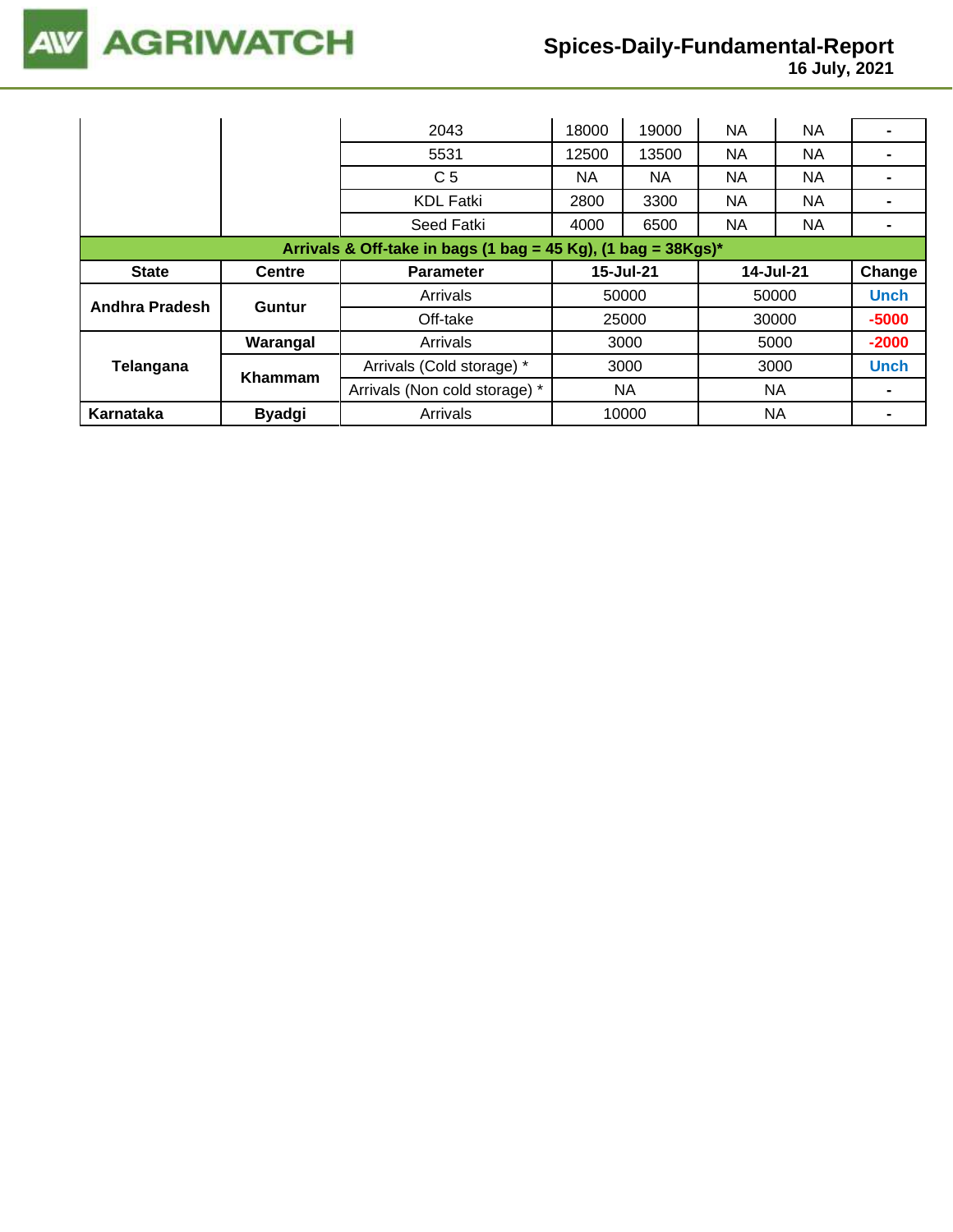

 **16 July, 2021**

|                                                                  |               | 2043                          | 18000 | 19000     | NA        | <b>NA</b> |                |  |
|------------------------------------------------------------------|---------------|-------------------------------|-------|-----------|-----------|-----------|----------------|--|
|                                                                  |               | 5531                          | 12500 | 13500     | <b>NA</b> | <b>NA</b> |                |  |
|                                                                  |               | C <sub>5</sub>                | NA.   | ΝA        | NA        | NA.       |                |  |
|                                                                  |               | <b>KDL Fatki</b>              | 2800  | 3300      | NA        | <b>NA</b> |                |  |
|                                                                  |               | Seed Fatki                    | 4000  | 6500      | NA        | <b>NA</b> | $\blacksquare$ |  |
| Arrivals & Off-take in bags (1 bag = 45 Kg), (1 bag = $38Kgs$ )* |               |                               |       |           |           |           |                |  |
| <b>State</b>                                                     | <b>Centre</b> | 15-Jul-21<br><b>Parameter</b> |       |           |           | 14-Jul-21 | Change         |  |
| Andhra Pradesh                                                   | <b>Guntur</b> | Arrivals                      | 50000 |           | 50000     |           | <b>Unch</b>    |  |
|                                                                  |               | Off-take                      |       | 25000     |           | 30000     | $-5000$        |  |
|                                                                  | Warangal      | Arrivals                      |       | 3000      |           | 5000      | $-2000$        |  |
| Telangana                                                        | Khammam       | Arrivals (Cold storage) *     |       | 3000      | 3000      |           | <b>Unch</b>    |  |
|                                                                  |               | Arrivals (Non cold storage) * |       | <b>NA</b> |           | NA        |                |  |
| Karnataka                                                        | <b>Byadgi</b> | Arrivals                      | 10000 |           | NA        |           |                |  |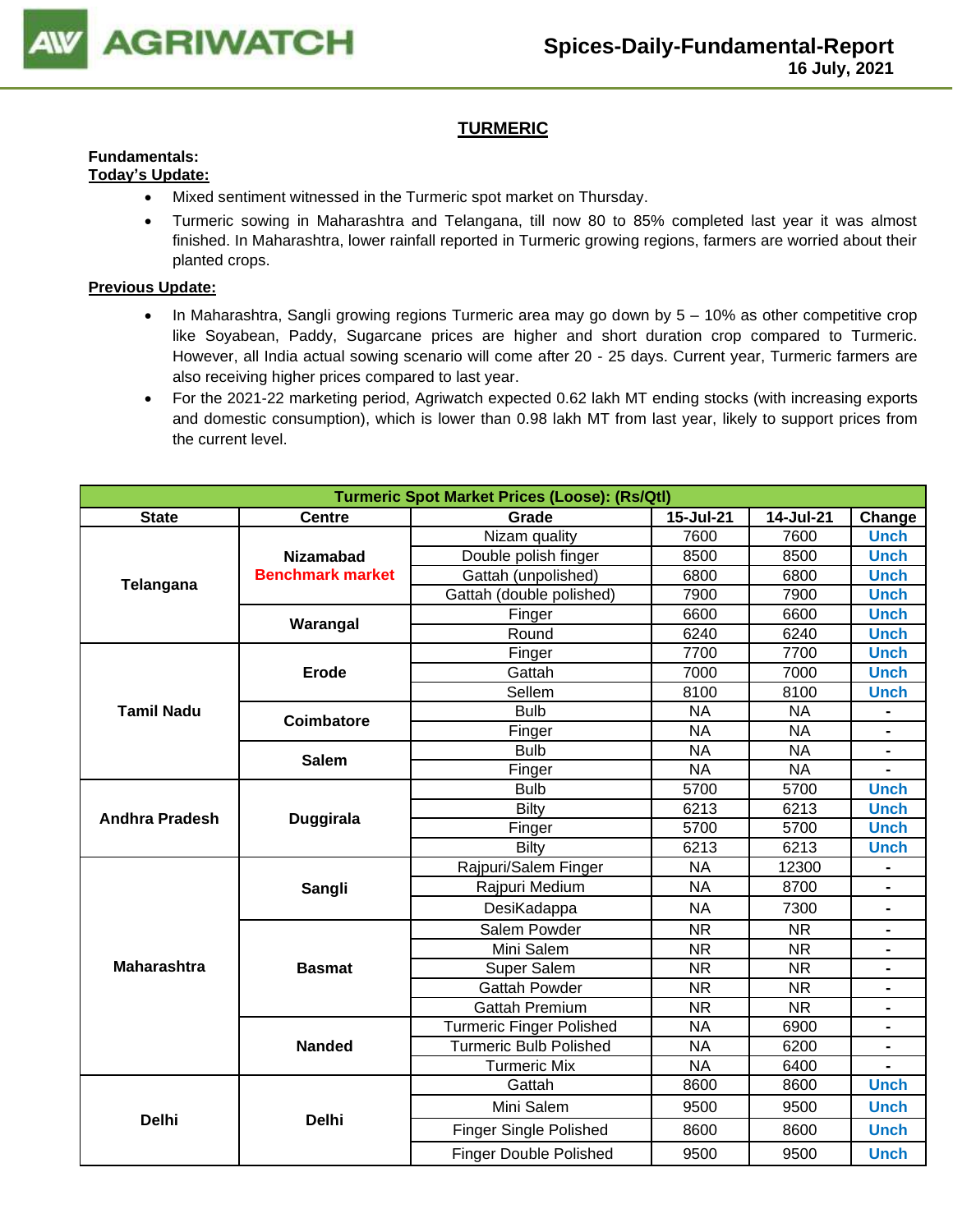

# **TURMERIC**

#### **Fundamentals: Today's Update:**

- Mixed sentiment witnessed in the Turmeric spot market on Thursday.
- Turmeric sowing in Maharashtra and Telangana, till now 80 to 85% completed last year it was almost finished. In Maharashtra, lower rainfall reported in Turmeric growing regions, farmers are worried about their planted crops.

- In Maharashtra, Sangli growing regions Turmeric area may go down by 5 10% as other competitive crop like Soyabean, Paddy, Sugarcane prices are higher and short duration crop compared to Turmeric. However, all India actual sowing scenario will come after 20 - 25 days. Current year, Turmeric farmers are also receiving higher prices compared to last year.
- For the 2021-22 marketing period, Agriwatch expected 0.62 lakh MT ending stocks (with increasing exports and domestic consumption), which is lower than 0.98 lakh MT from last year, likely to support prices from the current level.

|                       | <b>Turmeric Spot Market Prices (Loose): (Rs/Qtl)</b> |                                 |                                                                                                                                                                                                                                                                                                                                                                                                                                                                                                                                                                                                                                                                                                     |           |             |  |  |  |  |
|-----------------------|------------------------------------------------------|---------------------------------|-----------------------------------------------------------------------------------------------------------------------------------------------------------------------------------------------------------------------------------------------------------------------------------------------------------------------------------------------------------------------------------------------------------------------------------------------------------------------------------------------------------------------------------------------------------------------------------------------------------------------------------------------------------------------------------------------------|-----------|-------------|--|--|--|--|
| <b>State</b>          | <b>Centre</b>                                        | Grade                           | 15-Jul-21                                                                                                                                                                                                                                                                                                                                                                                                                                                                                                                                                                                                                                                                                           | 14-Jul-21 | Change      |  |  |  |  |
|                       |                                                      | Nizam quality                   | 7600                                                                                                                                                                                                                                                                                                                                                                                                                                                                                                                                                                                                                                                                                                | 7600      | <b>Unch</b> |  |  |  |  |
|                       | <b>Nizamabad</b>                                     | Double polish finger            | 8500                                                                                                                                                                                                                                                                                                                                                                                                                                                                                                                                                                                                                                                                                                | 8500      |             |  |  |  |  |
| Telangana             | <b>Benchmark market</b>                              | Gattah (unpolished)             | 6800                                                                                                                                                                                                                                                                                                                                                                                                                                                                                                                                                                                                                                                                                                | 6800      | <b>Unch</b> |  |  |  |  |
|                       |                                                      | Gattah (double polished)        | 7900                                                                                                                                                                                                                                                                                                                                                                                                                                                                                                                                                                                                                                                                                                | 7900      | <b>Unch</b> |  |  |  |  |
|                       | Warangal                                             | Finger                          | 6600                                                                                                                                                                                                                                                                                                                                                                                                                                                                                                                                                                                                                                                                                                | 6600      | <b>Unch</b> |  |  |  |  |
|                       |                                                      | Round                           | 6240                                                                                                                                                                                                                                                                                                                                                                                                                                                                                                                                                                                                                                                                                                | 6240      | <b>Unch</b> |  |  |  |  |
|                       |                                                      | Finger                          | 7700                                                                                                                                                                                                                                                                                                                                                                                                                                                                                                                                                                                                                                                                                                | 7700      | <b>Unch</b> |  |  |  |  |
|                       | Erode                                                | Gattah                          |                                                                                                                                                                                                                                                                                                                                                                                                                                                                                                                                                                                                                                                                                                     |           |             |  |  |  |  |
|                       |                                                      | Sellem                          | 8100                                                                                                                                                                                                                                                                                                                                                                                                                                                                                                                                                                                                                                                                                                | 8100      | <b>Unch</b> |  |  |  |  |
| <b>Tamil Nadu</b>     | <b>Coimbatore</b>                                    | <b>Bulb</b>                     | <b>Unch</b><br>7000<br>7000<br><b>Unch</b><br><b>NA</b><br><b>NA</b><br><b>NA</b><br><b>NA</b><br>$\blacksquare$<br>$N\overline{A}$<br><b>NA</b><br><b>NA</b><br><b>NA</b><br>5700<br>5700<br><b>Unch</b><br><b>Unch</b><br>6213<br>6213<br>5700<br>5700<br><b>Unch</b><br>6213<br>6213<br><b>Unch</b><br>12300<br><b>NA</b><br><b>NA</b><br>8700<br><b>NA</b><br>7300<br><b>NR</b><br><b>NR</b><br>$\blacksquare$<br><b>NR</b><br><b>NR</b><br><b>NR</b><br><b>NR</b><br><b>NR</b><br><b>NR</b><br>$\overline{\text{NR}}$<br><b>NR</b><br><b>NA</b><br>6900<br>6200<br><b>NA</b><br><b>NA</b><br>6400<br>8600<br>8600<br><b>Unch</b><br>9500<br>9500<br><b>Unch</b><br>8600<br>8600<br><b>Unch</b> |           |             |  |  |  |  |
|                       |                                                      | Finger                          |                                                                                                                                                                                                                                                                                                                                                                                                                                                                                                                                                                                                                                                                                                     |           |             |  |  |  |  |
|                       | <b>Salem</b>                                         | <b>Bulb</b>                     |                                                                                                                                                                                                                                                                                                                                                                                                                                                                                                                                                                                                                                                                                                     |           |             |  |  |  |  |
|                       |                                                      | Finger                          |                                                                                                                                                                                                                                                                                                                                                                                                                                                                                                                                                                                                                                                                                                     |           |             |  |  |  |  |
| <b>Andhra Pradesh</b> |                                                      | <b>Bulb</b>                     |                                                                                                                                                                                                                                                                                                                                                                                                                                                                                                                                                                                                                                                                                                     |           |             |  |  |  |  |
|                       | <b>Duggirala</b>                                     | Bilty                           |                                                                                                                                                                                                                                                                                                                                                                                                                                                                                                                                                                                                                                                                                                     |           |             |  |  |  |  |
|                       |                                                      | Finger                          |                                                                                                                                                                                                                                                                                                                                                                                                                                                                                                                                                                                                                                                                                                     |           |             |  |  |  |  |
|                       |                                                      | Bilty                           |                                                                                                                                                                                                                                                                                                                                                                                                                                                                                                                                                                                                                                                                                                     |           |             |  |  |  |  |
|                       |                                                      | Rajpuri/Salem Finger            |                                                                                                                                                                                                                                                                                                                                                                                                                                                                                                                                                                                                                                                                                                     |           |             |  |  |  |  |
|                       | Sangli                                               | Rajpuri Medium                  |                                                                                                                                                                                                                                                                                                                                                                                                                                                                                                                                                                                                                                                                                                     |           |             |  |  |  |  |
|                       |                                                      | DesiKadappa                     |                                                                                                                                                                                                                                                                                                                                                                                                                                                                                                                                                                                                                                                                                                     |           |             |  |  |  |  |
|                       |                                                      | Salem Powder                    |                                                                                                                                                                                                                                                                                                                                                                                                                                                                                                                                                                                                                                                                                                     |           |             |  |  |  |  |
|                       |                                                      | Mini Salem                      |                                                                                                                                                                                                                                                                                                                                                                                                                                                                                                                                                                                                                                                                                                     |           |             |  |  |  |  |
| <b>Maharashtra</b>    | <b>Basmat</b>                                        | Super Salem                     |                                                                                                                                                                                                                                                                                                                                                                                                                                                                                                                                                                                                                                                                                                     |           |             |  |  |  |  |
|                       |                                                      | <b>Gattah Powder</b>            |                                                                                                                                                                                                                                                                                                                                                                                                                                                                                                                                                                                                                                                                                                     |           |             |  |  |  |  |
|                       |                                                      | <b>Gattah Premium</b>           |                                                                                                                                                                                                                                                                                                                                                                                                                                                                                                                                                                                                                                                                                                     |           |             |  |  |  |  |
|                       |                                                      | <b>Turmeric Finger Polished</b> |                                                                                                                                                                                                                                                                                                                                                                                                                                                                                                                                                                                                                                                                                                     |           |             |  |  |  |  |
|                       | <b>Nanded</b>                                        | <b>Turmeric Bulb Polished</b>   |                                                                                                                                                                                                                                                                                                                                                                                                                                                                                                                                                                                                                                                                                                     |           |             |  |  |  |  |
|                       |                                                      | <b>Turmeric Mix</b>             |                                                                                                                                                                                                                                                                                                                                                                                                                                                                                                                                                                                                                                                                                                     |           |             |  |  |  |  |
|                       |                                                      | Gattah                          |                                                                                                                                                                                                                                                                                                                                                                                                                                                                                                                                                                                                                                                                                                     |           |             |  |  |  |  |
|                       |                                                      | Mini Salem                      |                                                                                                                                                                                                                                                                                                                                                                                                                                                                                                                                                                                                                                                                                                     |           |             |  |  |  |  |
| <b>Delhi</b>          | <b>Delhi</b>                                         | <b>Finger Single Polished</b>   |                                                                                                                                                                                                                                                                                                                                                                                                                                                                                                                                                                                                                                                                                                     |           |             |  |  |  |  |
|                       |                                                      | <b>Finger Double Polished</b>   | 9500                                                                                                                                                                                                                                                                                                                                                                                                                                                                                                                                                                                                                                                                                                | 9500      | <b>Unch</b> |  |  |  |  |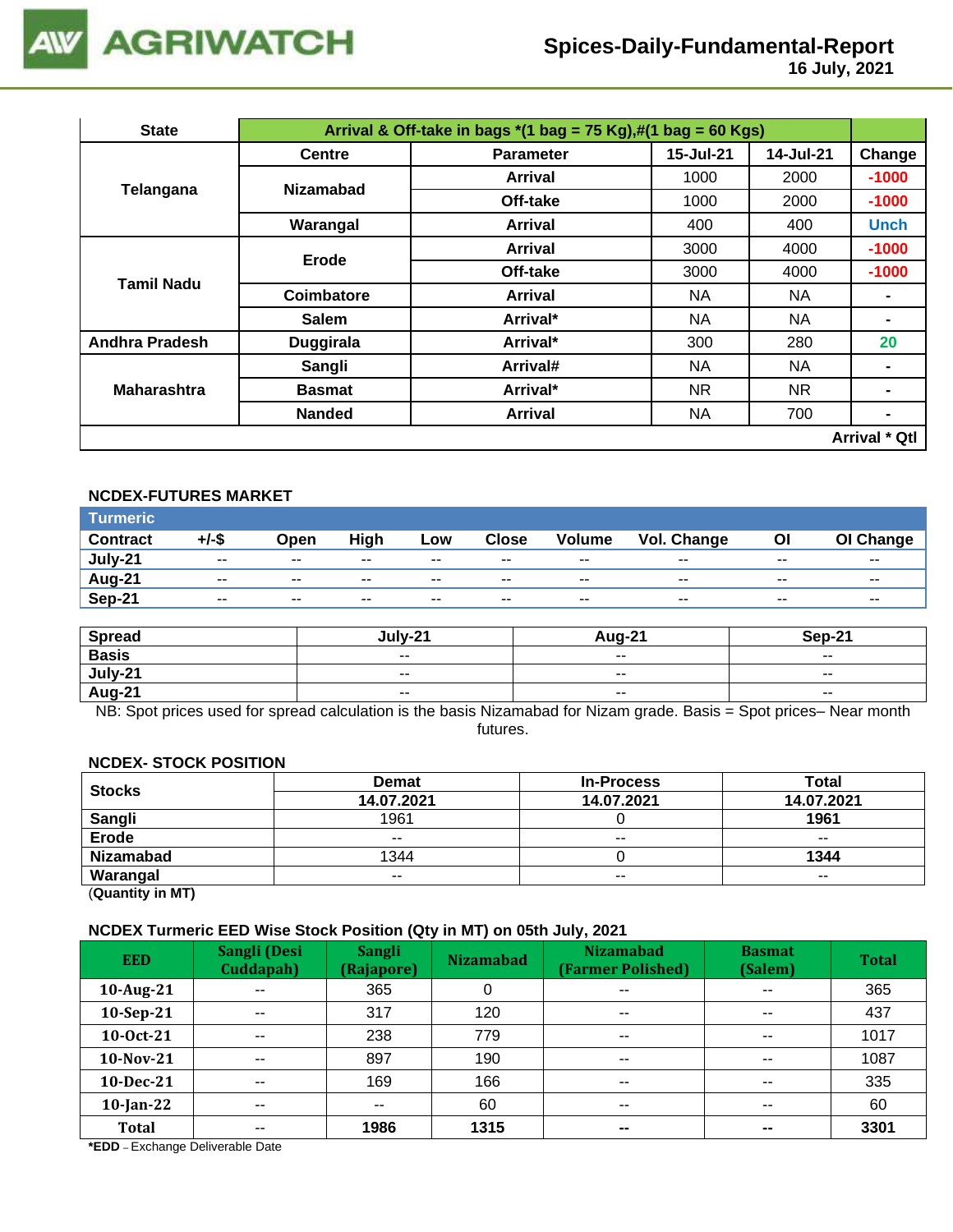

 **16 July, 2021**

| <b>State</b>          |                  | Arrival & Off-take in bags $*(1 \text{ bag} = 75 \text{ Kg}),\#(1 \text{ bag} = 60 \text{ Kg})$ |           |           |                      |  |  |
|-----------------------|------------------|-------------------------------------------------------------------------------------------------|-----------|-----------|----------------------|--|--|
|                       | <b>Centre</b>    | <b>Parameter</b>                                                                                | 15-Jul-21 | 14-Jul-21 | Change               |  |  |
| Telangana             | <b>Nizamabad</b> | Arrival                                                                                         | 1000      | 2000      | $-1000$              |  |  |
|                       |                  | Off-take                                                                                        | 1000      | 2000      | $-1000$              |  |  |
|                       | Warangal         | Arrival                                                                                         | 400       | 400       | <b>Unch</b>          |  |  |
| Tamil Nadu            | <b>Erode</b>     | Arrival                                                                                         | 3000      | 4000      | $-1000$              |  |  |
|                       |                  | Off-take                                                                                        | 3000      | 4000      | $-1000$<br>20        |  |  |
|                       | Coimbatore       | Arrival                                                                                         | NA.       | NA.       |                      |  |  |
|                       | <b>Salem</b>     | Arrival*                                                                                        | NA.       | ΝA        |                      |  |  |
| <b>Andhra Pradesh</b> | <b>Duggirala</b> | Arrival*                                                                                        | 300       | 280       |                      |  |  |
|                       | Sangli           | Arrival#                                                                                        | <b>NA</b> | <b>NA</b> |                      |  |  |
| <b>Maharashtra</b>    | <b>Basmat</b>    | Arrival*                                                                                        | NR.       | NR.       |                      |  |  |
|                       | <b>Nanded</b>    | <b>Arrival</b>                                                                                  | <b>NA</b> | 700       | -                    |  |  |
|                       |                  |                                                                                                 |           |           | <b>Arrival * Qtl</b> |  |  |

# **NCDEX-FUTURES MARKET**

| Turmeric <sup>1</sup> |                          |       |       |       |              |                          |             |       |           |
|-----------------------|--------------------------|-------|-------|-------|--------------|--------------------------|-------------|-------|-----------|
| <b>Contract</b>       | +/-\$                    | Open  | High  | Low   | <b>Close</b> | Volume                   | Vol. Change | ΟI    | OI Change |
| July-21               | $\sim$ $\sim$            | $- -$ | $- -$ | $- -$ | $- -$        | $- -$                    | $- -$       | $- -$ | $- -$     |
| <b>Aug-21</b>         | $\overline{\phantom{a}}$ | $- -$ | $- -$ | $- -$ | $- -$        | $\overline{\phantom{a}}$ | $- -$       | $- -$ | $- -$     |
| Sep-21                | $- -$                    | $- -$ | $- -$ | $- -$ | $- -$        | $- -$                    | $- -$       | $- -$ | $- -$     |

| <b>Spread</b> | Julv-21                  | Aug-21                   | Sep-21                   |
|---------------|--------------------------|--------------------------|--------------------------|
| <b>Basis</b>  | $\sim$ $\sim$            | $\overline{\phantom{a}}$ | $\overline{\phantom{a}}$ |
| $July-21$     | $\overline{\phantom{a}}$ | $- -$                    | $\overline{\phantom{a}}$ |
| Aug-21        | $- -$                    | $\overline{\phantom{a}}$ | $\overline{\phantom{a}}$ |

NB: Spot prices used for spread calculation is the basis Nizamabad for Nizam grade. Basis = Spot prices– Near month futures.

#### **NCDEX- STOCK POSITION**

| <b>Stocks</b>    | <b>Demat</b> | <b>In-Process</b> |               |  |  |
|------------------|--------------|-------------------|---------------|--|--|
|                  | 14.07.2021   | 14.07.2021        | 14.07.2021    |  |  |
| Sangli           | 1961         |                   | 1961          |  |  |
| Erode            | $- -$        | $- -$             | $- -$         |  |  |
| <b>Nizamabad</b> | 1344         |                   | 1344          |  |  |
| Warangal         | $- -$        | $\sim$ $\sim$     | $\sim$ $\sim$ |  |  |
|                  |              |                   |               |  |  |

(**Quantity in MT)**

#### **NCDEX Turmeric EED Wise Stock Position (Qty in MT) on 05th July, 2021**

| <b>EED</b>   | Sangli (Desi<br>Cuddapah) | <b>Sangli</b><br>(Rajapore) | . .<br>. .<br><b>Nizamabad</b> | <b>Nizamabad</b><br>(Farmer Polished) | <b>Basmat</b><br>(Salem) | <b>Total</b> |
|--------------|---------------------------|-----------------------------|--------------------------------|---------------------------------------|--------------------------|--------------|
| 10-Aug-21    | $\sim$ $\sim$             | 365                         |                                | $\overline{\phantom{a}}$              | $\overline{\phantom{a}}$ | 365          |
| 10-Sep-21    | $- -$                     | 317                         | 120                            | $\sim$ $\sim$                         | $\sim$ $\sim$            | 437          |
| 10-0ct-21    | $\sim$ $\sim$             | 238                         | 779                            | $\overline{\phantom{a}}$              | $\sim$ $\sim$            | 1017         |
| 10-Nov-21    | --                        | 897                         | 190                            | $\sim$ $\sim$                         | $\sim$ $\sim$            | 1087         |
| 10-Dec-21    | $- -$                     | 169                         | 166                            | $\sim$ $\sim$                         | $\sim$ $\sim$            | 335          |
| $10$ -Jan-22 | $- -$                     | --                          | 60                             | $\overline{\phantom{a}}$              | $\overline{\phantom{a}}$ | 60           |
| <b>Total</b> | $- -$                     | 1986                        | 1315                           | $\sim$                                | $\overline{\phantom{m}}$ | 3301         |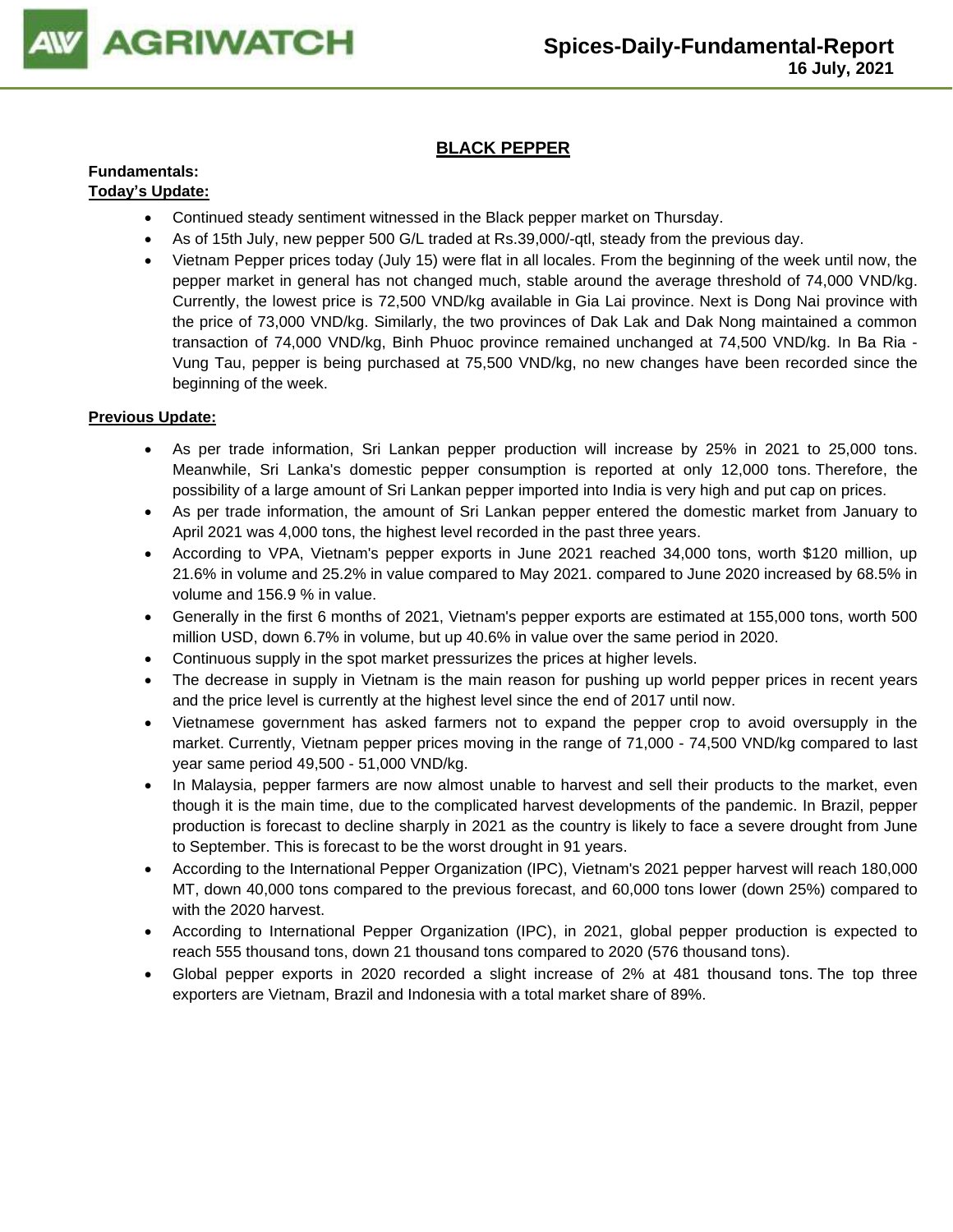

# **BLACK PEPPER**

#### **Fundamentals: Today's Update:**

- Continued steady sentiment witnessed in the Black pepper market on Thursday.
- As of 15th July, new pepper 500 G/L traded at Rs.39,000/-qtl, steady from the previous day.
- Vietnam Pepper prices today (July 15) were flat in all locales. From the beginning of the week until now, the pepper market in general has not changed much, stable around the average threshold of 74,000 VND/kg. Currently, the lowest price is 72,500 VND/kg available in Gia Lai province. Next is Dong Nai province with the price of 73,000 VND/kg. Similarly, the two provinces of Dak Lak and Dak Nong maintained a common transaction of 74,000 VND/kg, Binh Phuoc province remained unchanged at 74,500 VND/kg. In Ba Ria - Vung Tau, pepper is being purchased at 75,500 VND/kg, no new changes have been recorded since the beginning of the week.

- As per trade information, Sri Lankan pepper production will increase by 25% in 2021 to 25,000 tons. Meanwhile, Sri Lanka's domestic pepper consumption is reported at only 12,000 tons. Therefore, the possibility of a large amount of Sri Lankan pepper imported into India is very high and put cap on prices.
- As per trade information, the amount of Sri Lankan pepper entered the domestic market from January to April 2021 was 4,000 tons, the highest level recorded in the past three years.
- According to VPA, Vietnam's pepper exports in June 2021 reached 34,000 tons, worth \$120 million, up 21.6% in volume and 25.2% in value compared to May 2021. compared to June 2020 increased by 68.5% in volume and 156.9 % in value.
- Generally in the first 6 months of 2021, Vietnam's pepper exports are estimated at 155,000 tons, worth 500 million USD, down 6.7% in volume, but up 40.6% in value over the same period in 2020.
- Continuous supply in the spot market pressurizes the prices at higher levels.
- The decrease in supply in Vietnam is the main reason for pushing up world pepper prices in recent years and the price level is currently at the highest level since the end of 2017 until now.
- Vietnamese government has asked farmers not to expand the pepper crop to avoid oversupply in the market. Currently, Vietnam pepper prices moving in the range of 71,000 - 74,500 VND/kg compared to last year same period 49,500 - 51,000 VND/kg.
- In Malaysia, pepper farmers are now almost unable to harvest and sell their products to the market, even though it is the main time, due to the complicated harvest developments of the pandemic. In Brazil, pepper production is forecast to decline sharply in 2021 as the country is likely to face a severe drought from June to September. This is forecast to be the worst drought in 91 years.
- According to the International Pepper Organization (IPC), Vietnam's 2021 pepper harvest will reach 180,000 MT, down 40,000 tons compared to the previous forecast, and 60,000 tons lower (down 25%) compared to with the 2020 harvest.
- According to International Pepper Organization (IPC), in 2021, global pepper production is expected to reach 555 thousand tons, down 21 thousand tons compared to 2020 (576 thousand tons).
- Global pepper exports in 2020 recorded a slight increase of 2% at 481 thousand tons. The top three exporters are Vietnam, Brazil and Indonesia with a total market share of 89%.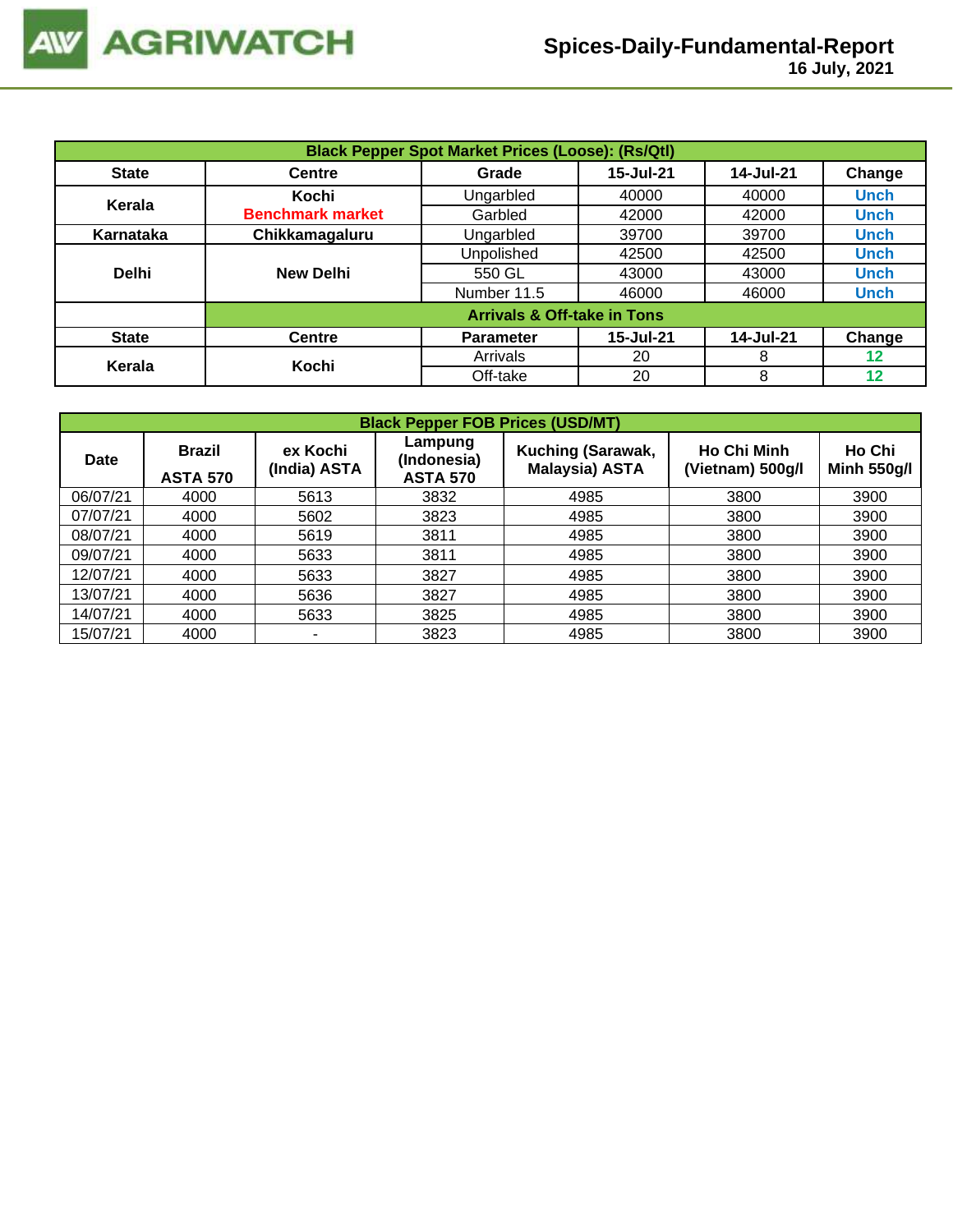| <b>Black Pepper Spot Market Prices (Loose): (Rs/Qtl)</b> |                         |                                        |           |           |             |  |  |  |
|----------------------------------------------------------|-------------------------|----------------------------------------|-----------|-----------|-------------|--|--|--|
| <b>State</b>                                             | <b>Centre</b>           | Grade                                  | 15-Jul-21 | 14-Jul-21 | Change      |  |  |  |
| Kerala                                                   | Kochi                   | Ungarbled                              | 40000     | 40000     | <b>Unch</b> |  |  |  |
|                                                          | <b>Benchmark market</b> | Garbled                                | 42000     | 42000     | <b>Unch</b> |  |  |  |
| Karnataka                                                | Chikkamagaluru          | Ungarbled                              | 39700     | 39700     | <b>Unch</b> |  |  |  |
|                                                          |                         | Unpolished                             | 42500     | 42500     | <b>Unch</b> |  |  |  |
| <b>Delhi</b>                                             | <b>New Delhi</b>        | 550 GL                                 | 43000     | 43000     | <b>Unch</b> |  |  |  |
|                                                          |                         | Number 11.5                            | 46000     | 46000     | <b>Unch</b> |  |  |  |
|                                                          |                         | <b>Arrivals &amp; Off-take in Tons</b> |           |           |             |  |  |  |
| <b>State</b>                                             | <b>Centre</b>           | <b>Parameter</b>                       | 15-Jul-21 | 14-Jul-21 | Change      |  |  |  |
| Kerala                                                   | Kochi                   | Arrivals                               | 20        | 8         | 12          |  |  |  |
|                                                          |                         | Off-take                               | 20        | 8         | 12          |  |  |  |

| <b>Black Pepper FOB Prices (USD/MT)</b> |                                  |                          |                                           |                                            |                                        |                              |  |  |  |  |
|-----------------------------------------|----------------------------------|--------------------------|-------------------------------------------|--------------------------------------------|----------------------------------------|------------------------------|--|--|--|--|
| <b>Date</b>                             | <b>Brazil</b><br><b>ASTA 570</b> | ex Kochi<br>(India) ASTA | Lampung<br>(Indonesia)<br><b>ASTA 570</b> | Kuching (Sarawak,<br><b>Malaysia) ASTA</b> | <b>Ho Chi Minh</b><br>(Vietnam) 500g/l | Ho Chi<br><b>Minh 550g/l</b> |  |  |  |  |
| 06/07/21                                | 4000                             | 5613                     | 3832                                      | 4985                                       | 3800                                   | 3900                         |  |  |  |  |
| 07/07/21                                | 4000                             | 5602                     | 3823                                      | 4985                                       | 3800                                   | 3900                         |  |  |  |  |
| 08/07/21                                | 4000                             | 5619                     | 3811                                      | 4985                                       | 3800                                   | 3900                         |  |  |  |  |
| 09/07/21                                | 4000                             | 5633                     | 3811                                      | 4985                                       | 3800                                   | 3900                         |  |  |  |  |
| 12/07/21                                | 4000                             | 5633                     | 3827                                      | 4985                                       | 3800                                   | 3900                         |  |  |  |  |
| 13/07/21                                | 4000                             | 5636                     | 3827                                      | 4985                                       | 3800                                   | 3900                         |  |  |  |  |
| 14/07/21                                | 4000                             | 5633                     | 3825                                      | 4985                                       | 3800                                   | 3900                         |  |  |  |  |
| 15/07/21                                | 4000                             |                          | 3823                                      | 4985                                       | 3800                                   | 3900                         |  |  |  |  |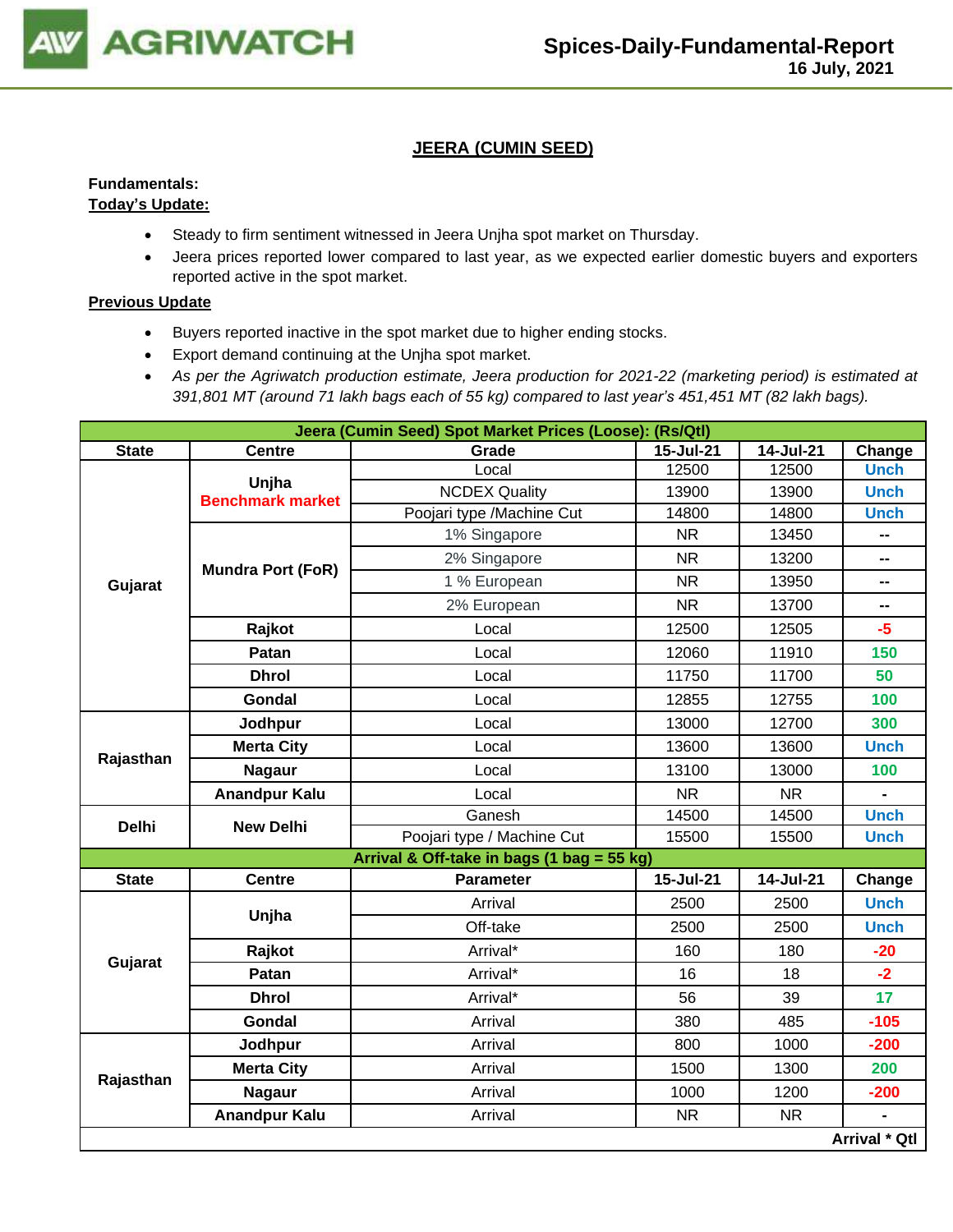

# **JEERA (CUMIN SEED)**

# **Fundamentals:**

# **Today's Update:**

- Steady to firm sentiment witnessed in Jeera Unjha spot market on Thursday.
- Jeera prices reported lower compared to last year, as we expected earlier domestic buyers and exporters reported active in the spot market.

- Buyers reported inactive in the spot market due to higher ending stocks.
- Export demand continuing at the Unjha spot market.
- *As per the Agriwatch production estimate, Jeera production for 2021-22 (marketing period) is estimated at 391,801 MT (around 71 lakh bags each of 55 kg) compared to last year's 451,451 MT (82 lakh bags).*

|              |                          | Jeera (Cumin Seed) Spot Market Prices (Loose): (Rs/Qtl) |           |           |                                                                                                       |  |  |  |
|--------------|--------------------------|---------------------------------------------------------|-----------|-----------|-------------------------------------------------------------------------------------------------------|--|--|--|
| <b>State</b> | <b>Centre</b>            | Grade                                                   | 15-Jul-21 | 14-Jul-21 | Change                                                                                                |  |  |  |
|              | Unjha                    | Local                                                   | 12500     | 12500     | <b>Unch</b>                                                                                           |  |  |  |
|              | <b>Benchmark market</b>  | <b>NCDEX Quality</b>                                    | 13900     | 13900     |                                                                                                       |  |  |  |
|              |                          | Poojari type /Machine Cut                               | 14800     | 14800     |                                                                                                       |  |  |  |
| Gujarat      |                          | 1% Singapore                                            | <b>NR</b> | 13450     | --                                                                                                    |  |  |  |
|              | <b>Mundra Port (FoR)</b> | 2% Singapore                                            | <b>NR</b> | 13200     | -−                                                                                                    |  |  |  |
|              |                          | 1 % European                                            | <b>NR</b> | 13950     | -−                                                                                                    |  |  |  |
|              |                          | 2% European                                             | <b>NR</b> | 13700     | -−                                                                                                    |  |  |  |
|              | Rajkot                   | Local                                                   | 12500     | 12505     | $-5$                                                                                                  |  |  |  |
|              | Patan                    | Local                                                   | 12060     | 11910     | 150                                                                                                   |  |  |  |
|              | <b>Dhrol</b>             | Local                                                   | 11750     | 11700     | 50                                                                                                    |  |  |  |
|              | Gondal                   | Local                                                   | 12855     | 12755     | 100                                                                                                   |  |  |  |
| Rajasthan    | Jodhpur                  | Local                                                   | 13000     | 12700     | 300                                                                                                   |  |  |  |
|              | <b>Merta City</b>        | Local                                                   | 13600     | 13600     | <b>Unch</b>                                                                                           |  |  |  |
|              | <b>Nagaur</b>            | Local                                                   | 13100     | 13000     | 100                                                                                                   |  |  |  |
|              | <b>Anandpur Kalu</b>     | Local                                                   | <b>NR</b> | <b>NR</b> | $\blacksquare$                                                                                        |  |  |  |
| <b>Delhi</b> | <b>New Delhi</b>         | Ganesh                                                  | 14500     | 14500     | <b>Unch</b>                                                                                           |  |  |  |
|              |                          | Poojari type / Machine Cut                              | 15500     | 15500     | <b>Unch</b>                                                                                           |  |  |  |
|              |                          | Arrival & Off-take in bags (1 bag = 55 kg)              |           |           |                                                                                                       |  |  |  |
| <b>State</b> | <b>Centre</b>            | <b>Parameter</b>                                        | 15-Jul-21 | 14-Jul-21 | Change                                                                                                |  |  |  |
|              | Unjha                    | Arrival                                                 | 2500      | 2500      | <b>Unch</b>                                                                                           |  |  |  |
|              |                          | Off-take                                                | 2500      | 2500      | <b>Unch</b><br><b>Unch</b><br><b>Unch</b><br>$-20$<br>$-2$<br>17<br>$-105$<br>$-200$<br>200<br>$-200$ |  |  |  |
|              | Rajkot                   | Arrival*                                                | 160       | 180       |                                                                                                       |  |  |  |
| Gujarat      | Patan                    | Arrival*                                                | 16        | 18        |                                                                                                       |  |  |  |
|              | <b>Dhrol</b>             | Arrival*                                                | 56        | 39        |                                                                                                       |  |  |  |
|              | <b>Gondal</b>            | Arrival                                                 | 380       | 485       |                                                                                                       |  |  |  |
|              | Jodhpur                  | Arrival                                                 | 800       | 1000      |                                                                                                       |  |  |  |
|              | <b>Merta City</b>        | Arrival                                                 | 1500      | 1300      |                                                                                                       |  |  |  |
| Rajasthan    | <b>Nagaur</b>            | Arrival                                                 | 1000      | 1200      |                                                                                                       |  |  |  |
|              | <b>Anandpur Kalu</b>     | Arrival                                                 | <b>NR</b> | <b>NR</b> |                                                                                                       |  |  |  |
|              |                          |                                                         |           |           | <b>Arrival * Qtl</b>                                                                                  |  |  |  |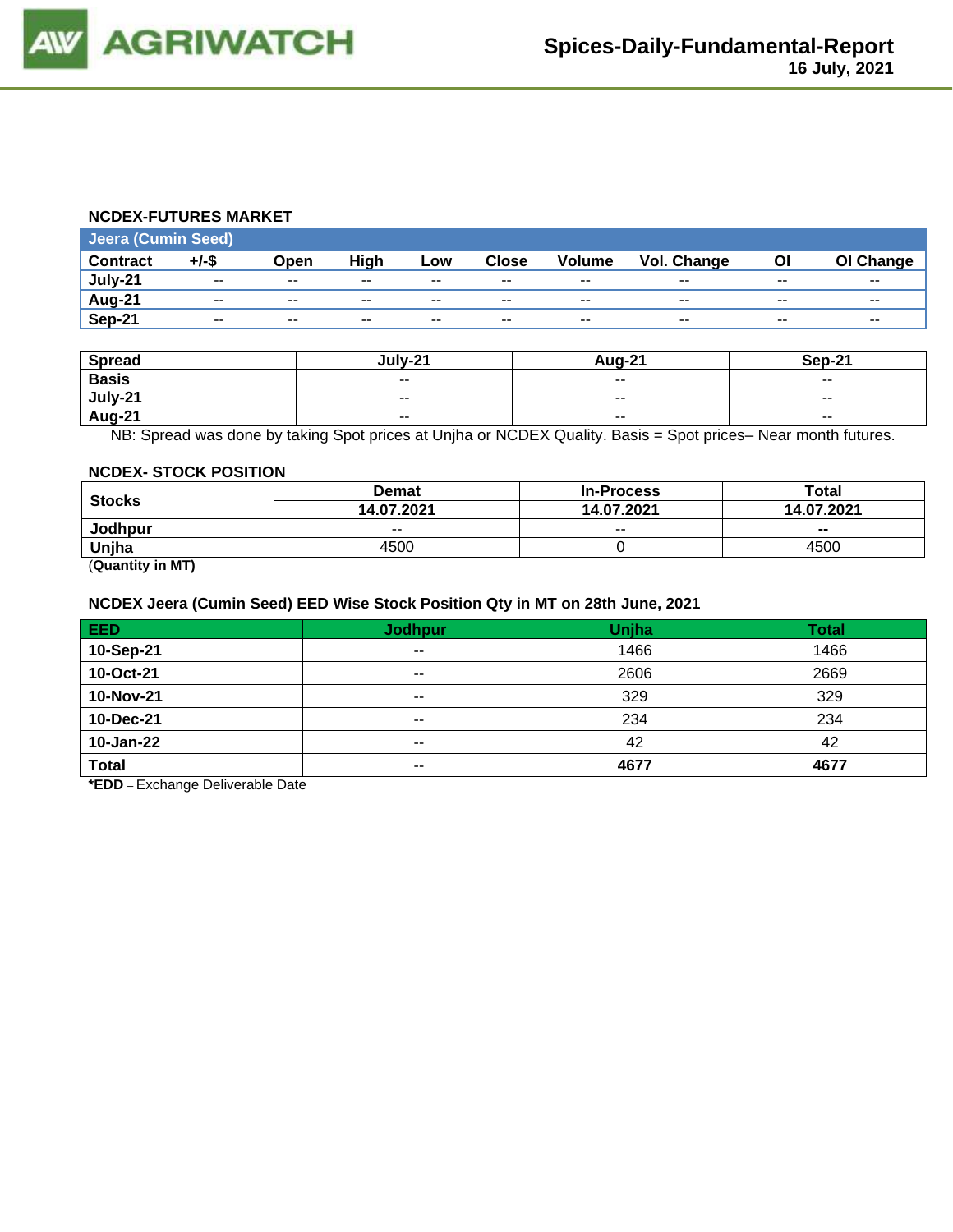#### **NCDEX-FUTURES MARKET**

| <b>Jeera (Cumin Seed)</b> |          |       |             |                          |              |               |                    |       |           |  |
|---------------------------|----------|-------|-------------|--------------------------|--------------|---------------|--------------------|-------|-----------|--|
| <b>Contract</b>           | $+/-$ \$ | Open  | <b>High</b> | Low                      | <b>Close</b> | <b>Volume</b> | <b>Vol. Change</b> | ΟI    | OI Change |  |
| July-21                   | $- -$    | $- -$ | $- -$       | $-$                      | $- -$        | $- -$         | $- -$              | --    | $- -$     |  |
| Aug-21                    | --       | $- -$ | $- -$       | $\overline{\phantom{a}}$ | $- -$        | $- -$         | $- -$              | $- -$ | $- -$     |  |
| Sep-21                    | $- -$    | $- -$ | $- -$       | $- -$                    | $- -$        | $- -$         | $- -$              | $- -$ | $- -$     |  |

| <b>Spread</b> | lulv-21                  | <b>Aug-21</b>            | Sep-21                   |
|---------------|--------------------------|--------------------------|--------------------------|
| <b>Basis</b>  | $\overline{\phantom{a}}$ | $\sim$ $\sim$            | $\overline{\phantom{a}}$ |
| July-21       | $\overline{\phantom{a}}$ | $\overline{\phantom{a}}$ | $\sim$ $\sim$            |
| <b>Aug-21</b> | $\sim$ $\sim$            | $\sim$ $\sim$            | $- -$                    |

NB: Spread was done by taking Spot prices at Unjha or NCDEX Quality. Basis = Spot prices– Near month futures.

#### **NCDEX- STOCK POSITION**

|                      | <b>Demat</b> | <b>In-Process</b> | Total          |  |
|----------------------|--------------|-------------------|----------------|--|
| <b>Stocks</b>        | 14.07.2021   | 14.07.2021        | 14.07.2021     |  |
| <b>Jodhpur</b>       | $- -$        | $- -$             | $\blacksquare$ |  |
| Uniha                | 4500         |                   | 4500           |  |
| $\sim$ $\sim$ $\sim$ |              |                   |                |  |

(**Quantity in MT)**

#### **NCDEX Jeera (Cumin Seed) EED Wise Stock Position Qty in MT on 28th June, 2021**

| <b>EED</b>   | <b>Jodhpur</b> | Unjha | <b>Total</b> |
|--------------|----------------|-------|--------------|
| 10-Sep-21    | $\sim$         | 1466  | 1466         |
| 10-Oct-21    | $- -$          | 2606  | 2669         |
| 10-Nov-21    | $\sim$ $\sim$  | 329   | 329          |
| 10-Dec-21    | $- -$          | 234   | 234          |
| 10-Jan-22    | $- -$          | 42    | 42           |
| <b>Total</b> | $- -$          | 4677  | 4677         |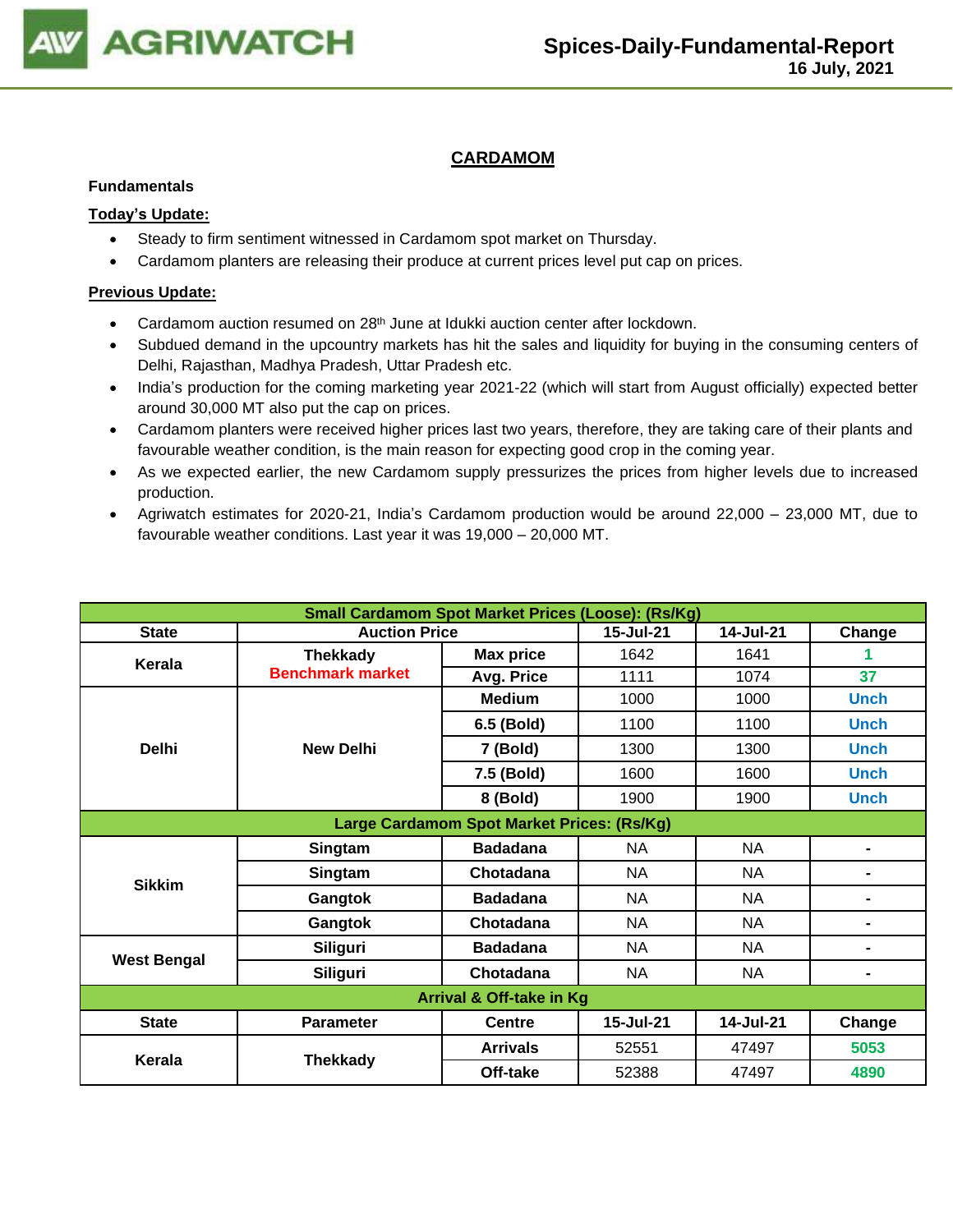

# **CARDAMOM**

#### **Fundamentals**

## **Today's Update:**

- Steady to firm sentiment witnessed in Cardamom spot market on Thursday.
- Cardamom planters are releasing their produce at current prices level put cap on prices.

- Cardamom auction resumed on 28<sup>th</sup> June at Idukki auction center after lockdown.
- Subdued demand in the upcountry markets has hit the sales and liquidity for buying in the consuming centers of Delhi, Rajasthan, Madhya Pradesh, Uttar Pradesh etc.
- India's production for the coming marketing year 2021-22 (which will start from August officially) expected better around 30,000 MT also put the cap on prices.
- Cardamom planters were received higher prices last two years, therefore, they are taking care of their plants and favourable weather condition, is the main reason for expecting good crop in the coming year.
- As we expected earlier, the new Cardamom supply pressurizes the prices from higher levels due to increased production.
- Agriwatch estimates for 2020-21, India's Cardamom production would be around 22,000 23,000 MT, due to favourable weather conditions. Last year it was 19,000 – 20,000 MT.

| <b>Small Cardamom Spot Market Prices (Loose): (Rs/Kg)</b> |                         |                                            |           |           |                |  |  |
|-----------------------------------------------------------|-------------------------|--------------------------------------------|-----------|-----------|----------------|--|--|
| <b>State</b>                                              | <b>Auction Price</b>    | 15-Jul-21                                  | 14-Jul-21 | Change    |                |  |  |
|                                                           | <b>Thekkady</b>         | <b>Max price</b>                           | 1642      | 1641      |                |  |  |
| Kerala                                                    | <b>Benchmark market</b> | Avg. Price                                 | 1111      | 1074      | 37             |  |  |
|                                                           |                         | <b>Medium</b>                              | 1000      | 1000      | <b>Unch</b>    |  |  |
|                                                           |                         | 6.5 (Bold)                                 | 1100      | 1100      | <b>Unch</b>    |  |  |
| <b>Delhi</b>                                              | <b>New Delhi</b>        | 7 (Bold)                                   | 1300      | 1300      | <b>Unch</b>    |  |  |
|                                                           |                         | 7.5 (Bold)                                 | 1600      | 1600      | <b>Unch</b>    |  |  |
|                                                           |                         | 8 (Bold)                                   | 1900      | 1900      | <b>Unch</b>    |  |  |
|                                                           |                         | Large Cardamom Spot Market Prices: (Rs/Kg) |           |           |                |  |  |
|                                                           | Singtam                 | <b>Badadana</b>                            | <b>NA</b> | <b>NA</b> |                |  |  |
| <b>Sikkim</b>                                             | Singtam                 | Chotadana                                  | <b>NA</b> | <b>NA</b> | -              |  |  |
|                                                           | Gangtok                 | <b>Badadana</b>                            | NA.       | NA.       | ۰              |  |  |
|                                                           | Gangtok                 | Chotadana                                  | NA.       | NA        | ۰              |  |  |
| <b>West Bengal</b>                                        | <b>Siliguri</b>         | <b>Badadana</b>                            | NA        | <b>NA</b> | $\blacksquare$ |  |  |
|                                                           | <b>Siliguri</b>         | Chotadana                                  | <b>NA</b> | <b>NA</b> | ۰              |  |  |
| <b>Arrival &amp; Off-take in Kg</b>                       |                         |                                            |           |           |                |  |  |
| <b>State</b>                                              | <b>Parameter</b>        | <b>Centre</b>                              | 15-Jul-21 | 14-Jul-21 | Change         |  |  |
| Kerala                                                    | <b>Thekkady</b>         | <b>Arrivals</b>                            | 52551     | 47497     | 5053           |  |  |
|                                                           |                         | Off-take                                   | 52388     | 47497     | 4890           |  |  |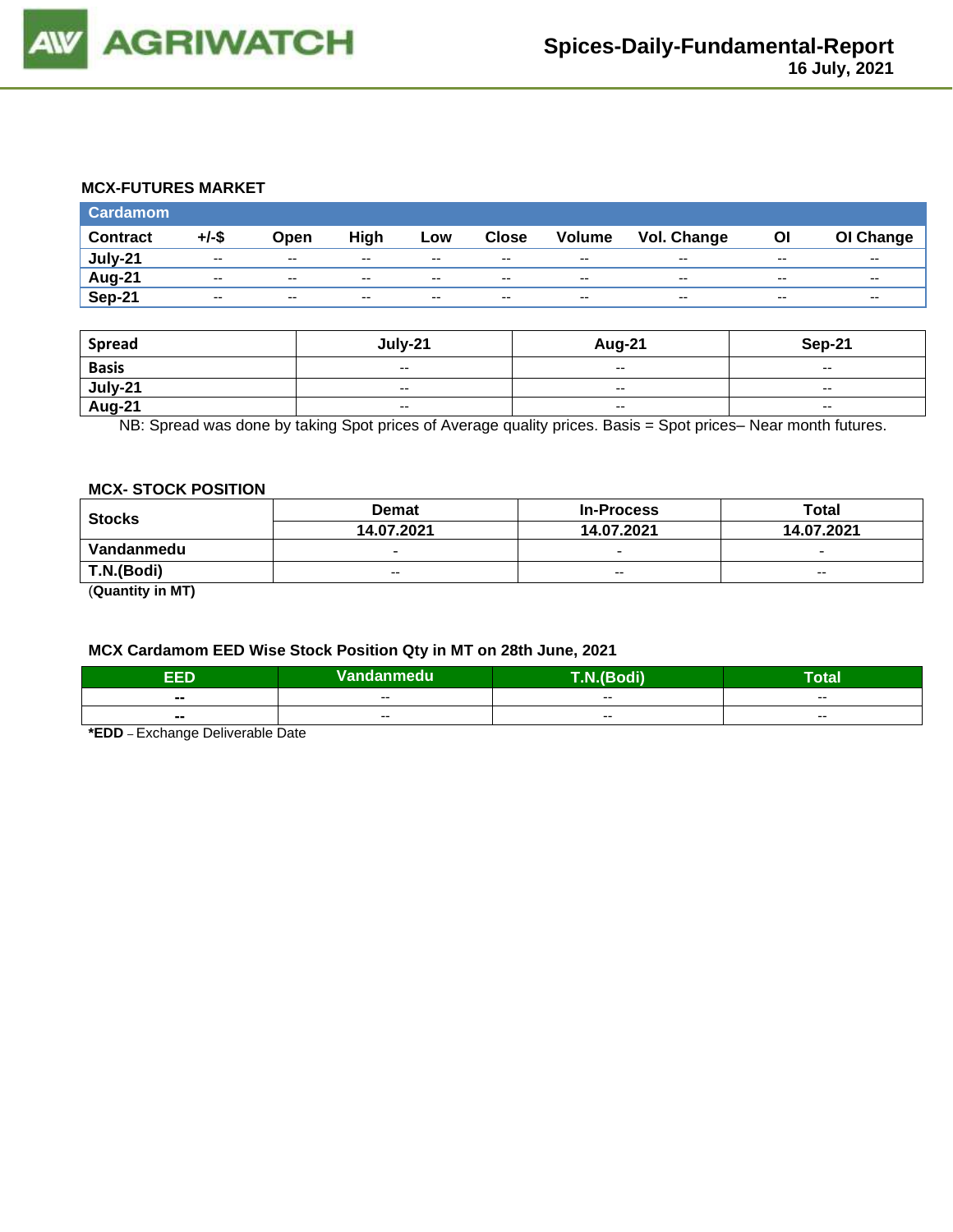

#### **MCX-FUTURES MARKET**

| <b>Cardamom</b> |          |               |       |               |               |                          |                    |       |           |
|-----------------|----------|---------------|-------|---------------|---------------|--------------------------|--------------------|-------|-----------|
| <b>Contract</b> | $+/-$ \$ | Open          | High  | Low           | <b>Close</b>  | Volume                   | <b>Vol. Change</b> | Οl    | OI Change |
| July-21         | $- -$    | $\sim$ $\sim$ | $- -$ | $\sim$ $\sim$ | $\sim$ $\sim$ | $\overline{\phantom{a}}$ | $- -$              | $- -$ | $- -$     |
| Aug-21          | $- -$    | $\sim$ $\sim$ | $- -$ | $- -$         | $- -$         | $\overline{\phantom{a}}$ | $- -$              | --    | $- -$     |
| Sep-21          | $- -$    | $-$           | $- -$ | $- -$         | $- -$         | $\overline{\phantom{a}}$ | $- -$              | --    | $- -$     |

| <b>Spread</b>  | July-21                  | Aug-21 | <b>Sep-21</b>            |
|----------------|--------------------------|--------|--------------------------|
| <b>Basis</b>   | $\overline{\phantom{a}}$ | $-$    | $\overline{\phantom{a}}$ |
| <u>July-21</u> | $\overline{\phantom{a}}$ | $-$    | $\sim$                   |
| <b>Aug-21</b>  | $\overline{\phantom{a}}$ | $-$    | $\overline{\phantom{a}}$ |

NB: Spread was done by taking Spot prices of Average quality prices. Basis = Spot prices– Near month futures.

#### **MCX- STOCK POSITION**

| <b>Stocks</b> | <b>Demat</b>             | <b>In-Process</b>        | Total                    |  |
|---------------|--------------------------|--------------------------|--------------------------|--|
|               | 14.07.2021               | 14.07.2021               | 14.07.2021               |  |
| Vandanmedu    | $\overline{\phantom{0}}$ | $\overline{\phantom{0}}$ | $\overline{\phantom{0}}$ |  |
| T.N.(Bodi)    | $- -$                    | $- -$                    | $- -$                    |  |
|               |                          |                          |                          |  |

(**Quantity in MT)**

#### **MCX Cardamom EED Wise Stock Position Qty in MT on 28th June, 2021**

| ccn    | Vandanmedu | <b>THE VALUE</b> | <b>Total</b> |  |
|--------|------------|------------------|--------------|--|
|        |            | $- -$            |              |  |
| $\sim$ | $- -$      |                  | $- -$        |  |
| $\sim$ |            | $- -$            |              |  |
|        | --         |                  | $- -$        |  |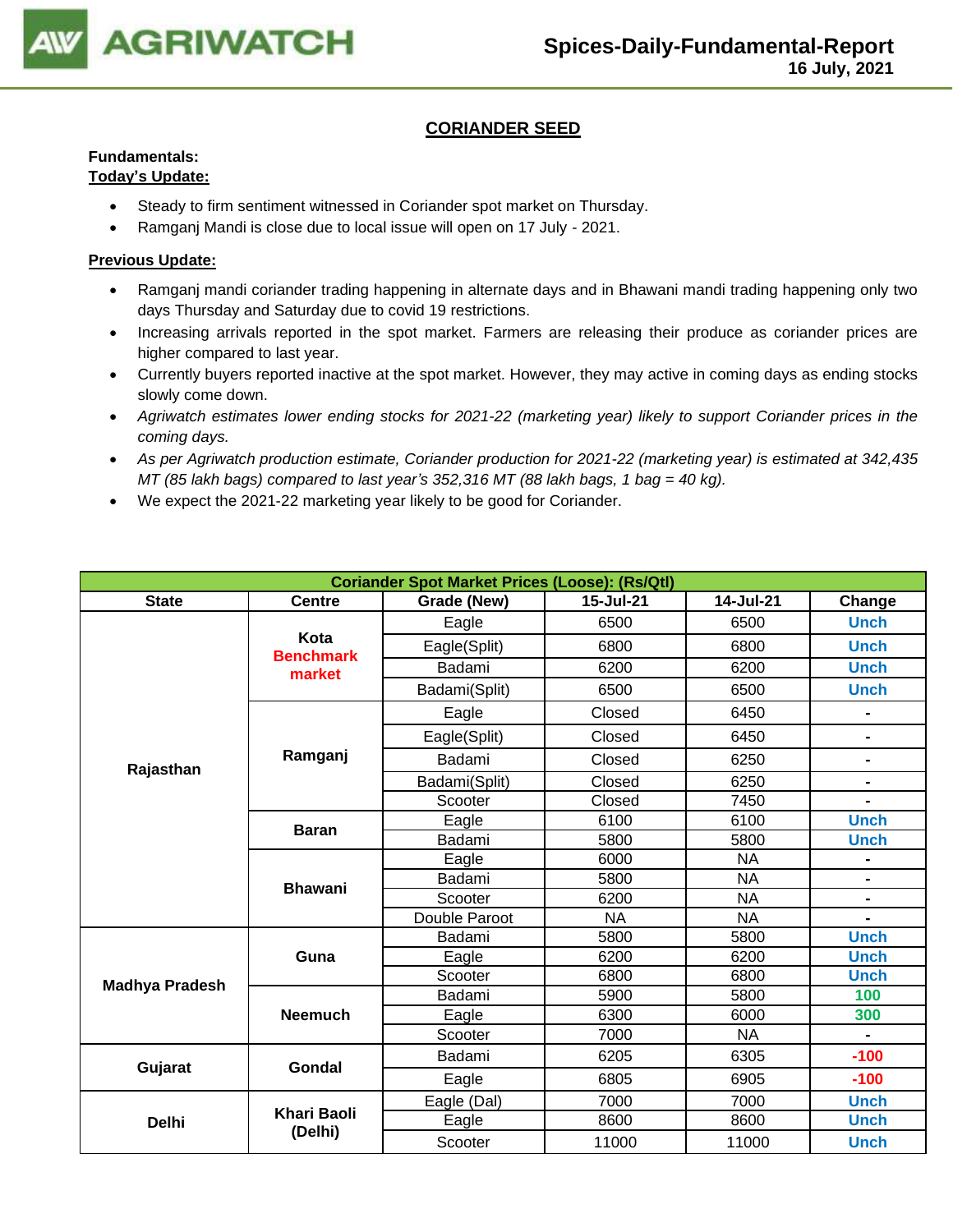

# **CORIANDER SEED**

# **Fundamentals:**

## **Today's Update:**

- Steady to firm sentiment witnessed in Coriander spot market on Thursday.
- Ramganj Mandi is close due to local issue will open on 17 July 2021.

- Ramganj mandi coriander trading happening in alternate days and in Bhawani mandi trading happening only two days Thursday and Saturday due to covid 19 restrictions.
- Increasing arrivals reported in the spot market. Farmers are releasing their produce as coriander prices are higher compared to last year.
- Currently buyers reported inactive at the spot market. However, they may active in coming days as ending stocks slowly come down.
- *Agriwatch estimates lower ending stocks for 2021-22 (marketing year) likely to support Coriander prices in the coming days.*
- *As per Agriwatch production estimate, Coriander production for 2021-22 (marketing year) is estimated at 342,435 MT (85 lakh bags) compared to last year's 352,316 MT (88 lakh bags, 1 bag = 40 kg).*
- We expect the 2021-22 marketing year likely to be good for Coriander.

| <b>Coriander Spot Market Prices (Loose): (Rs/Qtl)</b> |                          |               |           |           |                |  |  |
|-------------------------------------------------------|--------------------------|---------------|-----------|-----------|----------------|--|--|
| <b>State</b>                                          | <b>Centre</b>            | Grade (New)   | 15-Jul-21 | 14-Jul-21 | Change         |  |  |
|                                                       |                          | Eagle         | 6500      | 6500      | <b>Unch</b>    |  |  |
|                                                       | Kota<br><b>Benchmark</b> | Eagle(Split)  | 6800      | 6800      | <b>Unch</b>    |  |  |
|                                                       | market                   | Badami        | 6200      | 6200      | <b>Unch</b>    |  |  |
|                                                       |                          | Badami(Split) | 6500      | 6500      | <b>Unch</b>    |  |  |
|                                                       |                          | Eagle         | Closed    | 6450      | $\blacksquare$ |  |  |
|                                                       |                          | Eagle(Split)  | Closed    | 6450      | Ξ.             |  |  |
| Rajasthan                                             | Ramganj                  | Badami        | Closed    | 6250      | Ξ.             |  |  |
|                                                       |                          | Badami(Split) | Closed    | 6250      | $\overline{a}$ |  |  |
|                                                       |                          | Scooter       | Closed    | 7450      |                |  |  |
|                                                       | <b>Baran</b>             | Eagle         | 6100      | 6100      | <b>Unch</b>    |  |  |
|                                                       |                          | Badami        | 5800      | 5800      | <b>Unch</b>    |  |  |
|                                                       | <b>Bhawani</b>           | Eagle         | 6000      | <b>NA</b> |                |  |  |
|                                                       |                          | Badami        | 5800      | <b>NA</b> |                |  |  |
|                                                       |                          | Scooter       | 6200      | <b>NA</b> | $\blacksquare$ |  |  |
|                                                       |                          | Double Paroot | <b>NA</b> | <b>NA</b> |                |  |  |
|                                                       |                          | Badami        | 5800      | 5800      | <b>Unch</b>    |  |  |
|                                                       | Guna                     | Eagle         | 6200      | 6200      | <b>Unch</b>    |  |  |
| <b>Madhya Pradesh</b>                                 |                          | Scooter       | 6800      | 6800      | <b>Unch</b>    |  |  |
|                                                       |                          | Badami        | 5900      | 5800      | 100            |  |  |
|                                                       | <b>Neemuch</b>           | Eagle         | 6300      | 6000      | 300            |  |  |
|                                                       |                          | Scooter       | 7000      | <b>NA</b> |                |  |  |
| Gujarat                                               | <b>Gondal</b>            | Badami        | 6205      | 6305      | $-100$         |  |  |
|                                                       |                          | Eagle         | 6805      | 6905      | $-100$         |  |  |
|                                                       |                          | Eagle (Dal)   | 7000      | 7000      | <b>Unch</b>    |  |  |
| <b>Delhi</b>                                          | <b>Khari Baoli</b>       | Eagle         | 8600      | 8600      | <b>Unch</b>    |  |  |
|                                                       | (Delhi)                  | Scooter       | 11000     | 11000     | <b>Unch</b>    |  |  |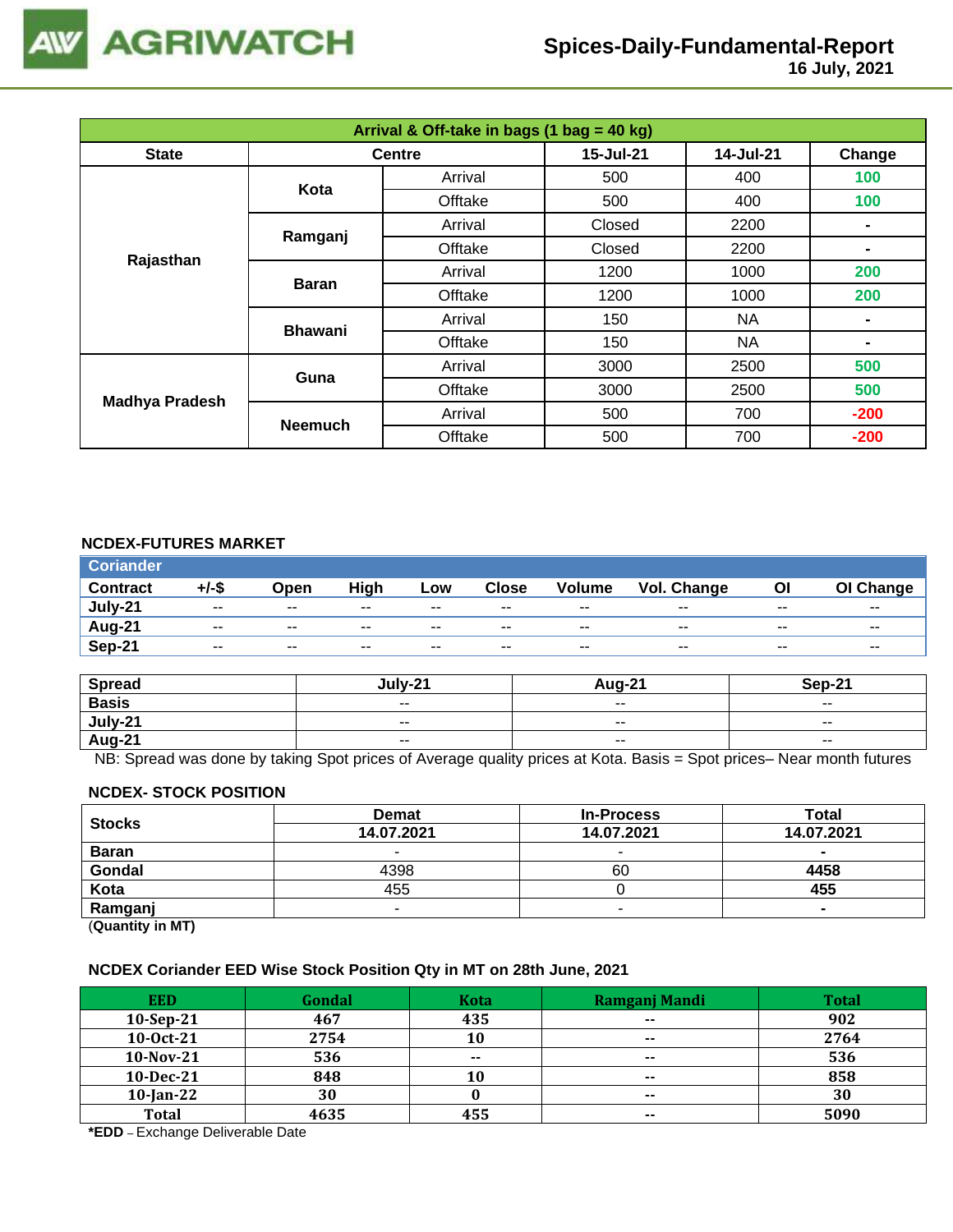

 **16 July, 2021**

| Arrival & Off-take in bags (1 bag = 40 kg) |                |               |           |           |                |  |  |
|--------------------------------------------|----------------|---------------|-----------|-----------|----------------|--|--|
| <b>State</b>                               |                | <b>Centre</b> | 15-Jul-21 | 14-Jul-21 | Change         |  |  |
|                                            | Kota           | Arrival       | 500       | 400       | 100            |  |  |
|                                            |                | Offtake       | 500       | 400       | 100            |  |  |
|                                            |                | Arrival       | Closed    | 2200      |                |  |  |
|                                            | Ramganj        | Offtake       | Closed    | 2200      |                |  |  |
| Rajasthan                                  |                | Arrival       | 1200      | 1000      | 200            |  |  |
|                                            | <b>Baran</b>   | Offtake       | 1200      | 1000      | 200            |  |  |
|                                            | <b>Bhawani</b> | Arrival       | 150       | NA        |                |  |  |
|                                            |                | Offtake       | 150       | <b>NA</b> | $\blacksquare$ |  |  |
|                                            | Guna           | Arrival       | 3000      | 2500      | 500            |  |  |
|                                            |                | Offtake       | 3000      | 2500      | 500            |  |  |
| <b>Madhya Pradesh</b>                      | <b>Neemuch</b> | Arrival       | 500       | 700       | $-200$         |  |  |
|                                            |                | Offtake       | 500       | 700       | $-200$         |  |  |

## **NCDEX-FUTURES MARKET**

| <b>Coriander</b> |               |               |       |       |               |               |             |       |                          |
|------------------|---------------|---------------|-------|-------|---------------|---------------|-------------|-------|--------------------------|
| <b>Contract</b>  | +/-\$         | Open          | High  | Low   | <b>Close</b>  | <b>Volume</b> | Vol. Change | OI    | OI Change                |
| July-21          | $\sim$ $\sim$ | $\sim$ $\sim$ | $- -$ | $- -$ | $\sim$ $\sim$ | $- -$         | $- -$       | $- -$ | $\overline{\phantom{a}}$ |
| Aug-21           | $- -$         | $- -$         | $- -$ | $- -$ | $- -$         | $- -$         | $- -$       | $- -$ | $- -$                    |
| Sep-21           | $- -$         | $\sim$ $\sim$ | $- -$ | --    | $- -$         | $- -$         | $-$         | $- -$ | $- -$                    |

| <b>Spread</b> | $1.111 - 2^2$ | Aua-21                   | <b>Sen-21</b>            |
|---------------|---------------|--------------------------|--------------------------|
| <b>Basis</b>  | $ -$          | $\overline{\phantom{a}}$ | $\overline{\phantom{a}}$ |
| July-21       | $- -$         | $\overline{\phantom{a}}$ | $- -$                    |
| <b>Aug-21</b> | $ -$          | $\overline{\phantom{a}}$ | $\sim$ $\sim$            |

NB: Spread was done by taking Spot prices of Average quality prices at Kota. Basis = Spot prices– Near month futures

#### **NCDEX- STOCK POSITION**

| <b>Stocks</b>           | <b>Demat</b> | <b>In-Process</b> | Total      |
|-------------------------|--------------|-------------------|------------|
|                         | 14.07.2021   | 14.07.2021        | 14.07.2021 |
| <b>Baran</b>            |              | -                 |            |
| Gondal                  | 4398         | 60                | 4458       |
| Kota                    | 455          |                   | 455        |
| Ramganj                 |              |                   |            |
| (0.1222, 0.0122, 0.000) |              |                   |            |

(**Quantity in MT)**

#### **NCDEX Coriander EED Wise Stock Position Qty in MT on 28th June, 2021**

| <b>EED</b>   | Gondal | <b>Kota</b>   | Ramganj Mandi            | <b>Total</b> |
|--------------|--------|---------------|--------------------------|--------------|
| $10-Sep-21$  | 467    | 435           | $- -$                    | 902          |
| 10-0ct-21    | 2754   | 10            | $\overline{\phantom{a}}$ | 2764         |
| 10-Nov-21    | 536    | $\sim$ $\sim$ | $\sim$ $\sim$            | 536          |
| 10-Dec-21    | 848    | 10            | $- -$                    | 858          |
| $10$ -Jan-22 | 30     |               | $- -$                    | 30           |
| <b>Total</b> | 4635   | 455           | $\sim$ $\sim$            | 5090         |